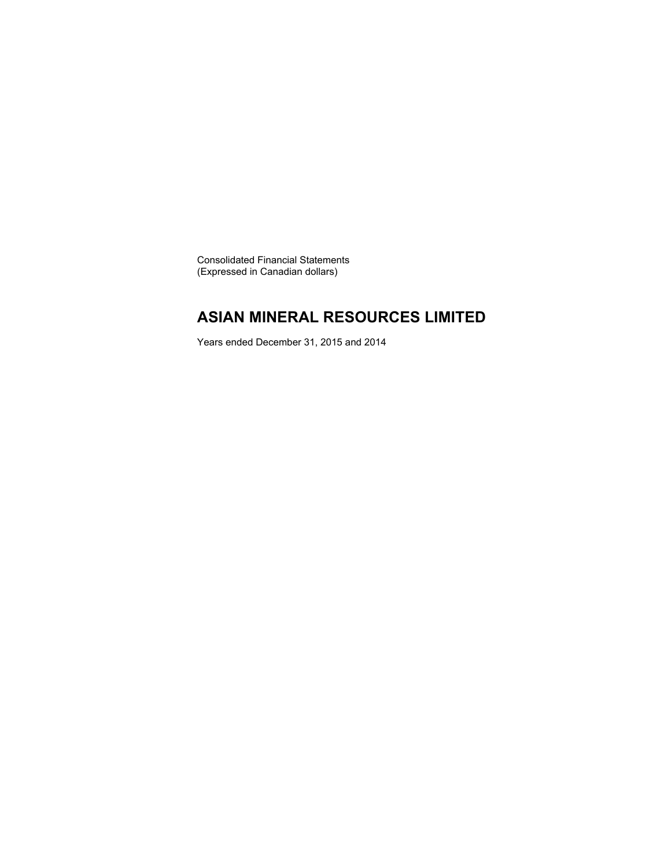Consolidated Financial Statements (Expressed in Canadian dollars)

### **ASIAN MINERAL RESOURCES LIMITED**

Years ended December 31, 2015 and 2014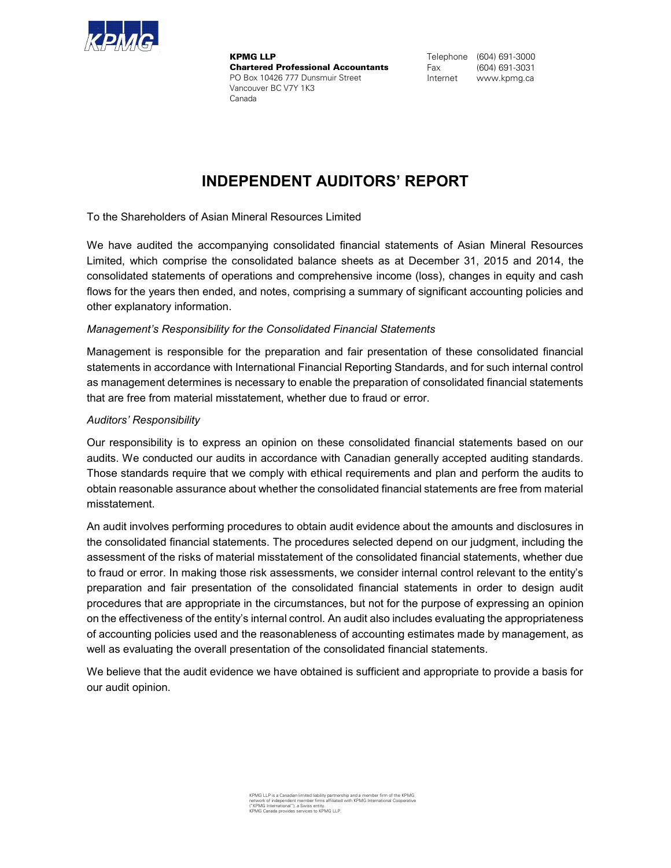

KPMG LLP Chartered Professional Accountants PO Box 10426 777 Dunsmuir Street Vancouver BC V7Y 1K3 Canada

Telephone (604) 691-3000 Fax (604) 691-3031 Internet www.kpmg.ca

### **INDEPENDENT AUDITORS' REPORT**

To the Shareholders of Asian Mineral Resources Limited

We have audited the accompanying consolidated financial statements of Asian Mineral Resources Limited, which comprise the consolidated balance sheets as at December 31, 2015 and 2014, the consolidated statements of operations and comprehensive income (loss), changes in equity and cash flows for the years then ended, and notes, comprising a summary of significant accounting policies and other explanatory information.

### *Management's Responsibility for the Consolidated Financial Statements*

Management is responsible for the preparation and fair presentation of these consolidated financial statements in accordance with International Financial Reporting Standards, and for such internal control as management determines is necessary to enable the preparation of consolidated financial statements that are free from material misstatement, whether due to fraud or error.

### *Auditors' Responsibility*

Our responsibility is to express an opinion on these consolidated financial statements based on our audits. We conducted our audits in accordance with Canadian generally accepted auditing standards. Those standards require that we comply with ethical requirements and plan and perform the audits to obtain reasonable assurance about whether the consolidated financial statements are free from material misstatement.

An audit involves performing procedures to obtain audit evidence about the amounts and disclosures in the consolidated financial statements. The procedures selected depend on our judgment, including the assessment of the risks of material misstatement of the consolidated financial statements, whether due to fraud or error. In making those risk assessments, we consider internal control relevant to the entity's preparation and fair presentation of the consolidated financial statements in order to design audit procedures that are appropriate in the circumstances, but not for the purpose of expressing an opinion on the effectiveness of the entity's internal control. An audit also includes evaluating the appropriateness of accounting policies used and the reasonableness of accounting estimates made by management, as well as evaluating the overall presentation of the consolidated financial statements.

We believe that the audit evidence we have obtained is sufficient and appropriate to provide a basis for our audit opinion.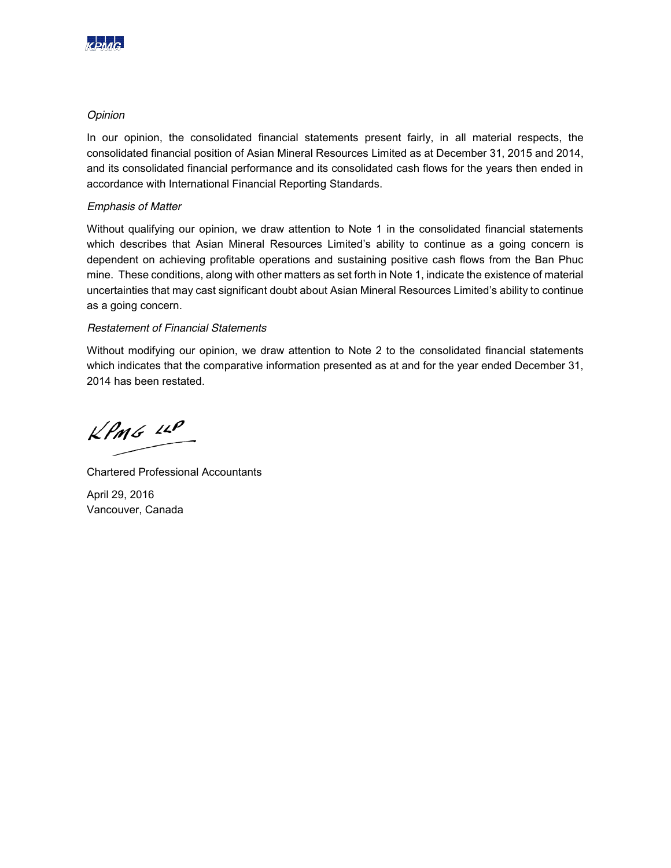

### *Opinion*

In our opinion, the consolidated financial statements present fairly, in all material respects, the consolidated financial position of Asian Mineral Resources Limited as at December 31, 2015 and 2014, and its consolidated financial performance and its consolidated cash flows for the years then ended in accordance with International Financial Reporting Standards.

### *Emphasis of Matter*

Without qualifying our opinion, we draw attention to Note 1 in the consolidated financial statements which describes that Asian Mineral Resources Limited's ability to continue as a going concern is dependent on achieving profitable operations and sustaining positive cash flows from the Ban Phuc mine. These conditions, along with other matters as set forth in Note 1, indicate the existence of material uncertainties that may cast significant doubt about Asian Mineral Resources Limited's ability to continue as a going concern.

### *Restatement of Financial Statements*

Without modifying our opinion, we draw attention to Note 2 to the consolidated financial statements which indicates that the comparative information presented as at and for the year ended December 31, 2014 has been restated.

 $k$ *PMG*  $44$ 

Chartered Professional Accountants

April 29, 2016 Vancouver, Canada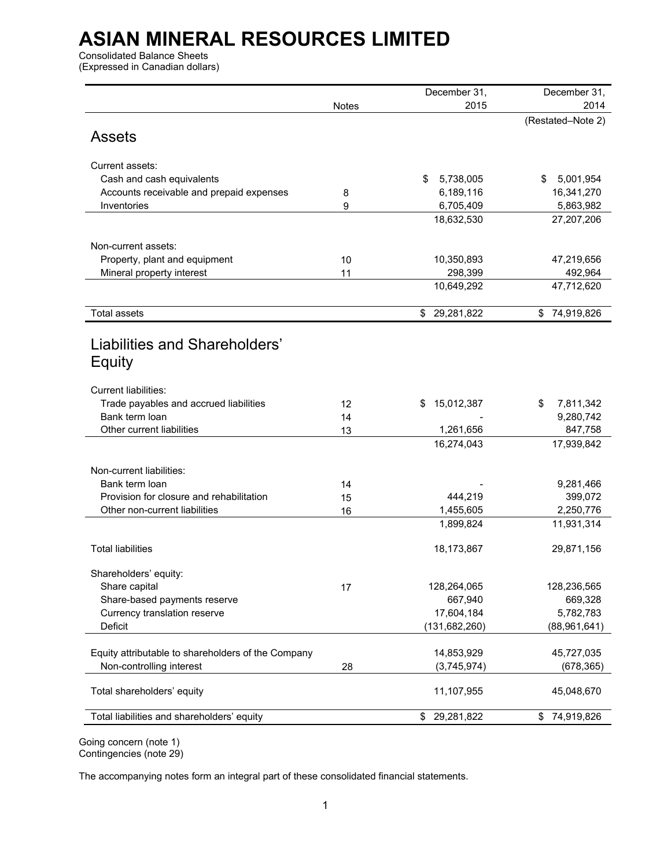Consolidated Balance Sheets (Expressed in Canadian dollars)

|                                                          |              | December 31,          | December 31,           |
|----------------------------------------------------------|--------------|-----------------------|------------------------|
|                                                          | <b>Notes</b> | 2015                  | 2014                   |
|                                                          |              |                       | (Restated-Note 2)      |
| <b>Assets</b>                                            |              |                       |                        |
|                                                          |              |                       |                        |
| Current assets:                                          |              |                       |                        |
| Cash and cash equivalents                                |              | \$<br>5,738,005       | 5,001,954<br>\$.       |
| Accounts receivable and prepaid expenses                 | 8            | 6,189,116             | 16,341,270             |
| Inventories                                              | 9            | 6,705,409             | 5,863,982              |
|                                                          |              | 18,632,530            | 27,207,206             |
|                                                          |              |                       |                        |
| Non-current assets:                                      |              |                       |                        |
| Property, plant and equipment                            | 10<br>11     | 10,350,893<br>298,399 | 47,219,656<br>492,964  |
| Mineral property interest                                |              | 10,649,292            | 47,712,620             |
|                                                          |              |                       |                        |
| <b>Total assets</b>                                      |              | \$ 29,281,822         | \$74,919,826           |
|                                                          |              |                       |                        |
| Liabilities and Shareholders'                            |              |                       |                        |
|                                                          |              |                       |                        |
| Equity                                                   |              |                       |                        |
|                                                          |              |                       |                        |
| <b>Current liabilities:</b>                              |              | S                     | \$                     |
| Trade payables and accrued liabilities<br>Bank term loan | 12<br>14     | 15,012,387            | 7,811,342<br>9,280,742 |
| Other current liabilities                                | 13           | 1,261,656             | 847,758                |
|                                                          |              | 16,274,043            | 17,939,842             |
|                                                          |              |                       |                        |
| Non-current liabilities:                                 |              |                       |                        |
| Bank term loan                                           | 14           |                       | 9,281,466              |
| Provision for closure and rehabilitation                 | 15           | 444,219               | 399,072                |
| Other non-current liabilities                            | 16           | 1,455,605             | 2,250,776              |
|                                                          |              | 1,899,824             | 11,931,314             |
|                                                          |              |                       |                        |
| <b>Total liabilities</b>                                 |              | 18,173,867            | 29,871,156             |
| Shareholders' equity:                                    |              |                       |                        |
| Share capital                                            | 17           | 128,264,065           | 128,236,565            |
| Share-based payments reserve                             |              | 667,940               | 669,328                |
| Currency translation reserve                             |              | 17,604,184            | 5,782,783              |
| Deficit                                                  |              | (131, 682, 260)       | (88,961,641)           |
|                                                          |              |                       |                        |
| Equity attributable to shareholders of the Company       |              | 14,853,929            | 45,727,035             |
| Non-controlling interest                                 | 28           | (3,745,974)           | (678, 365)             |
|                                                          |              |                       |                        |
| Total shareholders' equity                               |              | 11,107,955            | 45,048,670             |
| Total liabilities and shareholders' equity               |              | 29,281,822<br>\$      | 74,919,826<br>\$       |
|                                                          |              |                       |                        |

Going concern (note 1) Contingencies (note 29)

The accompanying notes form an integral part of these consolidated financial statements.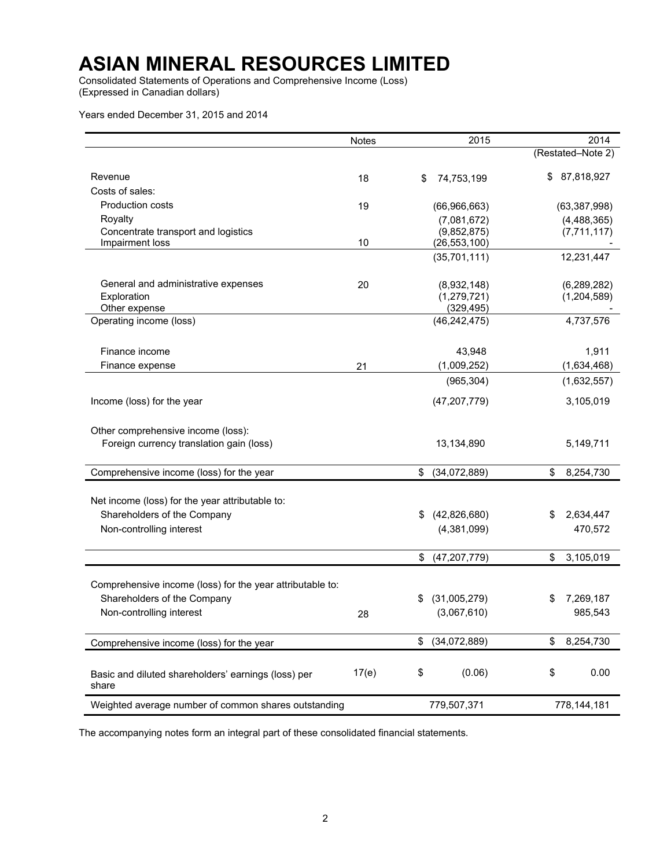Consolidated Statements of Operations and Comprehensive Income (Loss) (Expressed in Canadian dollars)

Years ended December 31, 2015 and 2014

|                                                              | <b>Notes</b> |    | 2015                         |     | 2014                       |
|--------------------------------------------------------------|--------------|----|------------------------------|-----|----------------------------|
|                                                              |              |    |                              |     | (Restated-Note 2)          |
| Revenue                                                      | 18           | \$ | 74,753,199                   | \$. | 87,818,927                 |
| Costs of sales:                                              |              |    |                              |     |                            |
| <b>Production costs</b>                                      | 19           |    | (66,966,663)                 |     | (63, 387, 998)             |
| Royalty                                                      |              |    | (7,081,672)                  |     | (4, 488, 365)              |
| Concentrate transport and logistics                          |              |    | (9,852,875)                  |     | (7,711,117)                |
| Impairment loss                                              | 10           |    | (26, 553, 100)               |     |                            |
|                                                              |              |    | (35,701,111)                 |     | 12,231,447                 |
|                                                              |              |    |                              |     |                            |
| General and administrative expenses<br>Exploration           | 20           |    | (8,932,148)<br>(1, 279, 721) |     | (6,289,282)<br>(1,204,589) |
| Other expense                                                |              |    | (329, 495)                   |     |                            |
| Operating income (loss)                                      |              |    | (46, 242, 475)               |     | 4,737,576                  |
|                                                              |              |    |                              |     |                            |
| Finance income                                               |              |    | 43,948                       |     | 1,911                      |
| Finance expense                                              | 21           |    | (1,009,252)                  |     | (1,634,468)                |
|                                                              |              |    | (965, 304)                   |     | (1,632,557)                |
| Income (loss) for the year                                   |              |    | (47, 207, 779)               |     | 3,105,019                  |
| Other comprehensive income (loss):                           |              |    |                              |     |                            |
| Foreign currency translation gain (loss)                     |              |    | 13,134,890                   |     | 5,149,711                  |
|                                                              |              |    |                              |     |                            |
| Comprehensive income (loss) for the year                     |              | \$ | (34,072,889)                 | \$  | 8,254,730                  |
|                                                              |              |    |                              |     |                            |
| Net income (loss) for the year attributable to:              |              |    |                              |     |                            |
| Shareholders of the Company                                  |              | \$ | (42,826,680)                 | \$  | 2,634,447                  |
| Non-controlling interest                                     |              |    | (4,381,099)                  |     | 470,572                    |
|                                                              |              | \$ | (47, 207, 779)               | \$  | 3,105,019                  |
|                                                              |              |    |                              |     |                            |
| Comprehensive income (loss) for the year attributable to:    |              |    |                              |     |                            |
| Shareholders of the Company                                  |              | S  | (31,005,279)                 |     | 7,269,187                  |
| Non-controlling interest                                     | 28           |    | (3,067,610)                  |     | 985,543                    |
|                                                              |              |    |                              |     |                            |
| Comprehensive income (loss) for the year                     |              | \$ | (34,072,889)                 | \$  | 8,254,730                  |
|                                                              |              |    |                              |     |                            |
| Basic and diluted shareholders' earnings (loss) per<br>share | 17(e)        | \$ | (0.06)                       | \$  | 0.00                       |
| Weighted average number of common shares outstanding         |              |    | 779,507,371                  |     | 778,144,181                |

The accompanying notes form an integral part of these consolidated financial statements.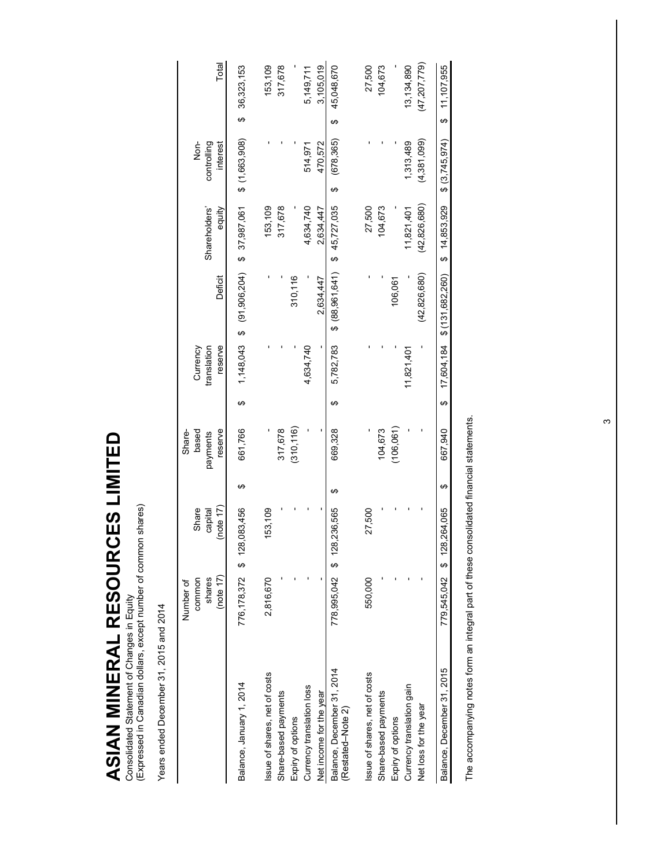Consolidated Statement of Changes in Equity<br>(Expressed in Canadian dollars, except number of common shares) (Expressed in Canadian dollars, except number of common shares) Consolidated Statement of Changes in Equity

**ASIAN MINERAL RESOURCES LIMITED** 

ASIAN MINERAL RESOURCES LIMITED

Years ended December 31, 2015 and 2014 Years ended December 31, 2015 and 2014

|                                                 | (note $17$ )<br>shares<br>common<br>Number of | (note $17$ )<br>Share<br>capital |   | reserve<br>based<br>Share-<br>payments |          | reserve<br>Currency<br>translation | Deficit                                       | Shareholders'<br>equity | Non-<br>controlling<br>interest |    | Total         |
|-------------------------------------------------|-----------------------------------------------|----------------------------------|---|----------------------------------------|----------|------------------------------------|-----------------------------------------------|-------------------------|---------------------------------|----|---------------|
| Balance, January 1, 2014                        |                                               | 776,178,372 \$ 128,083,456       | ↮ | 661,766                                | မာ       |                                    | $1,148,043$ \$ $(91,060,006)$ \$ $37,987,087$ |                         | $$$ (1,663,908)                 | မာ | 36,323,153    |
| Issue of shares, net of costs                   | 2,816,670                                     | 153,109                          |   |                                        |          |                                    |                                               | 153,109                 |                                 |    | 153,109       |
| Share-based payments                            |                                               |                                  |   | 317,678                                |          |                                    |                                               | 317,678                 |                                 |    | 317,678       |
| Expiry of options                               |                                               |                                  |   | (310, 116)                             |          |                                    | 310,116                                       |                         |                                 |    |               |
| Currency translation loss                       |                                               |                                  |   |                                        |          | 4,634,740                          |                                               | 4,634,740               | 514,971                         |    | 5,149,711     |
| Net income for the year                         |                                               |                                  |   |                                        |          |                                    | 2.634.447                                     | 2,634,447               | 470,572                         |    | 3,105,019     |
| Balance, December 31, 2014<br>(Restated-Note 2) | 778,995,042 \$ 128                            | 1,236,565                        | ക | 669,328                                | မာ       | 5,782,783                          | \$ (88,961,641)                               | \$45,727,035            | (678, 365)<br>↮                 | ↮  | 45,048,670    |
| Issue of shares, net of costs                   | 550,000                                       | 27,500                           |   |                                        |          |                                    |                                               | 27,500                  |                                 |    | 27,500        |
| Share-based payments                            |                                               |                                  |   | 104,673                                |          |                                    |                                               | 104,673                 |                                 |    | 104,673       |
| Expiry of options                               |                                               |                                  |   | (106,061)                              |          |                                    | 106,061                                       |                         |                                 |    |               |
| Currency translation gain                       |                                               |                                  |   |                                        |          | 11,821,401                         |                                               | 11,821,401              | 1,313,489                       |    | 13,134,890    |
| Net loss for the year                           |                                               |                                  |   |                                        |          |                                    | (42, 826, 680)                                | (42, 826, 680)          | (4,381,099)                     |    | (47,207,779)  |
| Balance, December 31, 2015                      |                                               | 779,545,042 \$ 128,264,065       | ↔ | 667.940                                | $\theta$ | 17,604,184                         | \$(131, 682, 260)                             | \$14,853,929            | \$(3,745,974)                   |    | \$ 11,107,955 |
|                                                 |                                               |                                  |   |                                        |          |                                    |                                               |                         |                                 |    |               |

The accompanying notes form an integral part of these consolidated financial statements. The accompanying notes form an integral part of these consolidated financial statements.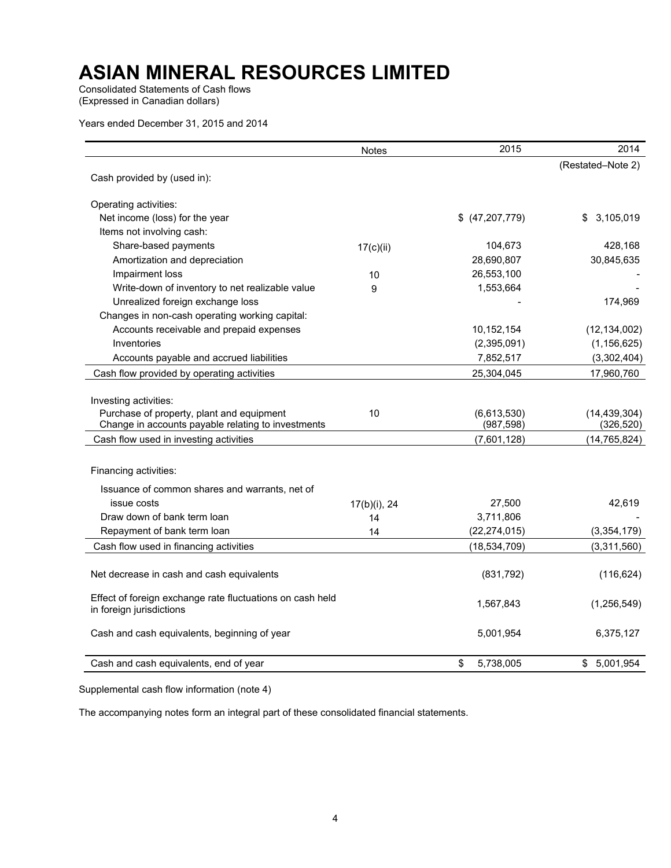Consolidated Statements of Cash flows (Expressed in Canadian dollars)

Years ended December 31, 2015 and 2014

| (Restated-Note 2)<br>Cash provided by (used in):<br>Operating activities:<br>Net income (loss) for the year<br>3,105,019<br>\$ (47,207,779)<br>S.<br>Items not involving cash:<br>Share-based payments<br>104,673<br>428,168<br>17(c)(ii)<br>Amortization and depreciation<br>28,690,807<br>30,845,635<br>26,553,100<br>Impairment loss<br>10<br>Write-down of inventory to net realizable value<br>1,553,664<br>9<br>Unrealized foreign exchange loss<br>174,969<br>Changes in non-cash operating working capital:<br>Accounts receivable and prepaid expenses<br>10,152,154<br>(12, 134, 002)<br>Inventories<br>(2,395,091)<br>(1, 156, 625)<br>Accounts payable and accrued liabilities<br>7,852,517<br>(3,302,404)<br>Cash flow provided by operating activities<br>25,304,045<br>17,960,760<br>Investing activities:<br>Purchase of property, plant and equipment<br>10<br>(6,613,530)<br>(14, 439, 304)<br>Change in accounts payable relating to investments<br>(987, 598)<br>(326, 520)<br>Cash flow used in investing activities<br>(7,601,128)<br>(14, 765, 824)<br>Financing activities:<br>Issuance of common shares and warrants, net of<br>issue costs<br>27,500<br>42,619<br>17(b)(i), 24<br>Draw down of bank term loan<br>3,711,806<br>14<br>Repayment of bank term loan<br>(22, 274, 015)<br>(3, 354, 179)<br>14<br>Cash flow used in financing activities<br>(18, 534, 709)<br>(3,311,560)<br>Net decrease in cash and cash equivalents<br>(831, 792)<br>(116, 624)<br>Effect of foreign exchange rate fluctuations on cash held<br>(1,256,549)<br>1,567,843<br>in foreign jurisdictions<br>5,001,954<br>6,375,127<br>Cash and cash equivalents, beginning of year<br>\$<br>5,738,005<br>\$5,001,954<br>Cash and cash equivalents, end of year | <b>Notes</b> | 2015 | 2014 |
|-------------------------------------------------------------------------------------------------------------------------------------------------------------------------------------------------------------------------------------------------------------------------------------------------------------------------------------------------------------------------------------------------------------------------------------------------------------------------------------------------------------------------------------------------------------------------------------------------------------------------------------------------------------------------------------------------------------------------------------------------------------------------------------------------------------------------------------------------------------------------------------------------------------------------------------------------------------------------------------------------------------------------------------------------------------------------------------------------------------------------------------------------------------------------------------------------------------------------------------------------------------------------------------------------------------------------------------------------------------------------------------------------------------------------------------------------------------------------------------------------------------------------------------------------------------------------------------------------------------------------------------------------------------------------------------------------------------------------------------------------------------------|--------------|------|------|
|                                                                                                                                                                                                                                                                                                                                                                                                                                                                                                                                                                                                                                                                                                                                                                                                                                                                                                                                                                                                                                                                                                                                                                                                                                                                                                                                                                                                                                                                                                                                                                                                                                                                                                                                                                   |              |      |      |
|                                                                                                                                                                                                                                                                                                                                                                                                                                                                                                                                                                                                                                                                                                                                                                                                                                                                                                                                                                                                                                                                                                                                                                                                                                                                                                                                                                                                                                                                                                                                                                                                                                                                                                                                                                   |              |      |      |
|                                                                                                                                                                                                                                                                                                                                                                                                                                                                                                                                                                                                                                                                                                                                                                                                                                                                                                                                                                                                                                                                                                                                                                                                                                                                                                                                                                                                                                                                                                                                                                                                                                                                                                                                                                   |              |      |      |
|                                                                                                                                                                                                                                                                                                                                                                                                                                                                                                                                                                                                                                                                                                                                                                                                                                                                                                                                                                                                                                                                                                                                                                                                                                                                                                                                                                                                                                                                                                                                                                                                                                                                                                                                                                   |              |      |      |
|                                                                                                                                                                                                                                                                                                                                                                                                                                                                                                                                                                                                                                                                                                                                                                                                                                                                                                                                                                                                                                                                                                                                                                                                                                                                                                                                                                                                                                                                                                                                                                                                                                                                                                                                                                   |              |      |      |
|                                                                                                                                                                                                                                                                                                                                                                                                                                                                                                                                                                                                                                                                                                                                                                                                                                                                                                                                                                                                                                                                                                                                                                                                                                                                                                                                                                                                                                                                                                                                                                                                                                                                                                                                                                   |              |      |      |
|                                                                                                                                                                                                                                                                                                                                                                                                                                                                                                                                                                                                                                                                                                                                                                                                                                                                                                                                                                                                                                                                                                                                                                                                                                                                                                                                                                                                                                                                                                                                                                                                                                                                                                                                                                   |              |      |      |
|                                                                                                                                                                                                                                                                                                                                                                                                                                                                                                                                                                                                                                                                                                                                                                                                                                                                                                                                                                                                                                                                                                                                                                                                                                                                                                                                                                                                                                                                                                                                                                                                                                                                                                                                                                   |              |      |      |
|                                                                                                                                                                                                                                                                                                                                                                                                                                                                                                                                                                                                                                                                                                                                                                                                                                                                                                                                                                                                                                                                                                                                                                                                                                                                                                                                                                                                                                                                                                                                                                                                                                                                                                                                                                   |              |      |      |
|                                                                                                                                                                                                                                                                                                                                                                                                                                                                                                                                                                                                                                                                                                                                                                                                                                                                                                                                                                                                                                                                                                                                                                                                                                                                                                                                                                                                                                                                                                                                                                                                                                                                                                                                                                   |              |      |      |
|                                                                                                                                                                                                                                                                                                                                                                                                                                                                                                                                                                                                                                                                                                                                                                                                                                                                                                                                                                                                                                                                                                                                                                                                                                                                                                                                                                                                                                                                                                                                                                                                                                                                                                                                                                   |              |      |      |
|                                                                                                                                                                                                                                                                                                                                                                                                                                                                                                                                                                                                                                                                                                                                                                                                                                                                                                                                                                                                                                                                                                                                                                                                                                                                                                                                                                                                                                                                                                                                                                                                                                                                                                                                                                   |              |      |      |
|                                                                                                                                                                                                                                                                                                                                                                                                                                                                                                                                                                                                                                                                                                                                                                                                                                                                                                                                                                                                                                                                                                                                                                                                                                                                                                                                                                                                                                                                                                                                                                                                                                                                                                                                                                   |              |      |      |
|                                                                                                                                                                                                                                                                                                                                                                                                                                                                                                                                                                                                                                                                                                                                                                                                                                                                                                                                                                                                                                                                                                                                                                                                                                                                                                                                                                                                                                                                                                                                                                                                                                                                                                                                                                   |              |      |      |
|                                                                                                                                                                                                                                                                                                                                                                                                                                                                                                                                                                                                                                                                                                                                                                                                                                                                                                                                                                                                                                                                                                                                                                                                                                                                                                                                                                                                                                                                                                                                                                                                                                                                                                                                                                   |              |      |      |
|                                                                                                                                                                                                                                                                                                                                                                                                                                                                                                                                                                                                                                                                                                                                                                                                                                                                                                                                                                                                                                                                                                                                                                                                                                                                                                                                                                                                                                                                                                                                                                                                                                                                                                                                                                   |              |      |      |
|                                                                                                                                                                                                                                                                                                                                                                                                                                                                                                                                                                                                                                                                                                                                                                                                                                                                                                                                                                                                                                                                                                                                                                                                                                                                                                                                                                                                                                                                                                                                                                                                                                                                                                                                                                   |              |      |      |
|                                                                                                                                                                                                                                                                                                                                                                                                                                                                                                                                                                                                                                                                                                                                                                                                                                                                                                                                                                                                                                                                                                                                                                                                                                                                                                                                                                                                                                                                                                                                                                                                                                                                                                                                                                   |              |      |      |
|                                                                                                                                                                                                                                                                                                                                                                                                                                                                                                                                                                                                                                                                                                                                                                                                                                                                                                                                                                                                                                                                                                                                                                                                                                                                                                                                                                                                                                                                                                                                                                                                                                                                                                                                                                   |              |      |      |
|                                                                                                                                                                                                                                                                                                                                                                                                                                                                                                                                                                                                                                                                                                                                                                                                                                                                                                                                                                                                                                                                                                                                                                                                                                                                                                                                                                                                                                                                                                                                                                                                                                                                                                                                                                   |              |      |      |
|                                                                                                                                                                                                                                                                                                                                                                                                                                                                                                                                                                                                                                                                                                                                                                                                                                                                                                                                                                                                                                                                                                                                                                                                                                                                                                                                                                                                                                                                                                                                                                                                                                                                                                                                                                   |              |      |      |
|                                                                                                                                                                                                                                                                                                                                                                                                                                                                                                                                                                                                                                                                                                                                                                                                                                                                                                                                                                                                                                                                                                                                                                                                                                                                                                                                                                                                                                                                                                                                                                                                                                                                                                                                                                   |              |      |      |
|                                                                                                                                                                                                                                                                                                                                                                                                                                                                                                                                                                                                                                                                                                                                                                                                                                                                                                                                                                                                                                                                                                                                                                                                                                                                                                                                                                                                                                                                                                                                                                                                                                                                                                                                                                   |              |      |      |
|                                                                                                                                                                                                                                                                                                                                                                                                                                                                                                                                                                                                                                                                                                                                                                                                                                                                                                                                                                                                                                                                                                                                                                                                                                                                                                                                                                                                                                                                                                                                                                                                                                                                                                                                                                   |              |      |      |
|                                                                                                                                                                                                                                                                                                                                                                                                                                                                                                                                                                                                                                                                                                                                                                                                                                                                                                                                                                                                                                                                                                                                                                                                                                                                                                                                                                                                                                                                                                                                                                                                                                                                                                                                                                   |              |      |      |
|                                                                                                                                                                                                                                                                                                                                                                                                                                                                                                                                                                                                                                                                                                                                                                                                                                                                                                                                                                                                                                                                                                                                                                                                                                                                                                                                                                                                                                                                                                                                                                                                                                                                                                                                                                   |              |      |      |
|                                                                                                                                                                                                                                                                                                                                                                                                                                                                                                                                                                                                                                                                                                                                                                                                                                                                                                                                                                                                                                                                                                                                                                                                                                                                                                                                                                                                                                                                                                                                                                                                                                                                                                                                                                   |              |      |      |
|                                                                                                                                                                                                                                                                                                                                                                                                                                                                                                                                                                                                                                                                                                                                                                                                                                                                                                                                                                                                                                                                                                                                                                                                                                                                                                                                                                                                                                                                                                                                                                                                                                                                                                                                                                   |              |      |      |
|                                                                                                                                                                                                                                                                                                                                                                                                                                                                                                                                                                                                                                                                                                                                                                                                                                                                                                                                                                                                                                                                                                                                                                                                                                                                                                                                                                                                                                                                                                                                                                                                                                                                                                                                                                   |              |      |      |
|                                                                                                                                                                                                                                                                                                                                                                                                                                                                                                                                                                                                                                                                                                                                                                                                                                                                                                                                                                                                                                                                                                                                                                                                                                                                                                                                                                                                                                                                                                                                                                                                                                                                                                                                                                   |              |      |      |
|                                                                                                                                                                                                                                                                                                                                                                                                                                                                                                                                                                                                                                                                                                                                                                                                                                                                                                                                                                                                                                                                                                                                                                                                                                                                                                                                                                                                                                                                                                                                                                                                                                                                                                                                                                   |              |      |      |
|                                                                                                                                                                                                                                                                                                                                                                                                                                                                                                                                                                                                                                                                                                                                                                                                                                                                                                                                                                                                                                                                                                                                                                                                                                                                                                                                                                                                                                                                                                                                                                                                                                                                                                                                                                   |              |      |      |
|                                                                                                                                                                                                                                                                                                                                                                                                                                                                                                                                                                                                                                                                                                                                                                                                                                                                                                                                                                                                                                                                                                                                                                                                                                                                                                                                                                                                                                                                                                                                                                                                                                                                                                                                                                   |              |      |      |
|                                                                                                                                                                                                                                                                                                                                                                                                                                                                                                                                                                                                                                                                                                                                                                                                                                                                                                                                                                                                                                                                                                                                                                                                                                                                                                                                                                                                                                                                                                                                                                                                                                                                                                                                                                   |              |      |      |
|                                                                                                                                                                                                                                                                                                                                                                                                                                                                                                                                                                                                                                                                                                                                                                                                                                                                                                                                                                                                                                                                                                                                                                                                                                                                                                                                                                                                                                                                                                                                                                                                                                                                                                                                                                   |              |      |      |

Supplemental cash flow information (note 4)

The accompanying notes form an integral part of these consolidated financial statements.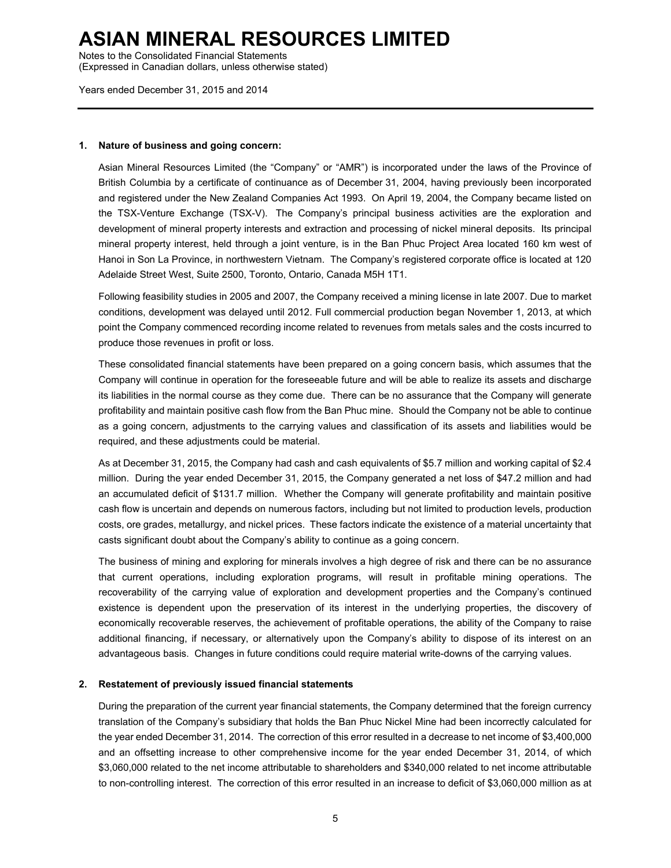Notes to the Consolidated Financial Statements

(Expressed in Canadian dollars, unless otherwise stated)

Years ended December 31, 2015 and 2014

#### **1. Nature of business and going concern:**

Asian Mineral Resources Limited (the "Company" or "AMR") is incorporated under the laws of the Province of British Columbia by a certificate of continuance as of December 31, 2004, having previously been incorporated and registered under the New Zealand Companies Act 1993. On April 19, 2004, the Company became listed on the TSX-Venture Exchange (TSX-V). The Company's principal business activities are the exploration and development of mineral property interests and extraction and processing of nickel mineral deposits. Its principal mineral property interest, held through a joint venture, is in the Ban Phuc Project Area located 160 km west of Hanoi in Son La Province, in northwestern Vietnam. The Company's registered corporate office is located at 120 Adelaide Street West, Suite 2500, Toronto, Ontario, Canada M5H 1T1.

Following feasibility studies in 2005 and 2007, the Company received a mining license in late 2007. Due to market conditions, development was delayed until 2012. Full commercial production began November 1, 2013, at which point the Company commenced recording income related to revenues from metals sales and the costs incurred to produce those revenues in profit or loss.

These consolidated financial statements have been prepared on a going concern basis, which assumes that the Company will continue in operation for the foreseeable future and will be able to realize its assets and discharge its liabilities in the normal course as they come due. There can be no assurance that the Company will generate profitability and maintain positive cash flow from the Ban Phuc mine. Should the Company not be able to continue as a going concern, adjustments to the carrying values and classification of its assets and liabilities would be required, and these adjustments could be material.

As at December 31, 2015, the Company had cash and cash equivalents of \$5.7 million and working capital of \$2.4 million. During the year ended December 31, 2015, the Company generated a net loss of \$47.2 million and had an accumulated deficit of \$131.7 million. Whether the Company will generate profitability and maintain positive cash flow is uncertain and depends on numerous factors, including but not limited to production levels, production costs, ore grades, metallurgy, and nickel prices. These factors indicate the existence of a material uncertainty that casts significant doubt about the Company's ability to continue as a going concern.

The business of mining and exploring for minerals involves a high degree of risk and there can be no assurance that current operations, including exploration programs, will result in profitable mining operations. The recoverability of the carrying value of exploration and development properties and the Company's continued existence is dependent upon the preservation of its interest in the underlying properties, the discovery of economically recoverable reserves, the achievement of profitable operations, the ability of the Company to raise additional financing, if necessary, or alternatively upon the Company's ability to dispose of its interest on an advantageous basis. Changes in future conditions could require material write-downs of the carrying values.

#### **2. Restatement of previously issued financial statements**

During the preparation of the current year financial statements, the Company determined that the foreign currency translation of the Company's subsidiary that holds the Ban Phuc Nickel Mine had been incorrectly calculated for the year ended December 31, 2014. The correction of this error resulted in a decrease to net income of \$3,400,000 and an offsetting increase to other comprehensive income for the year ended December 31, 2014, of which \$3,060,000 related to the net income attributable to shareholders and \$340,000 related to net income attributable to non-controlling interest. The correction of this error resulted in an increase to deficit of \$3,060,000 million as at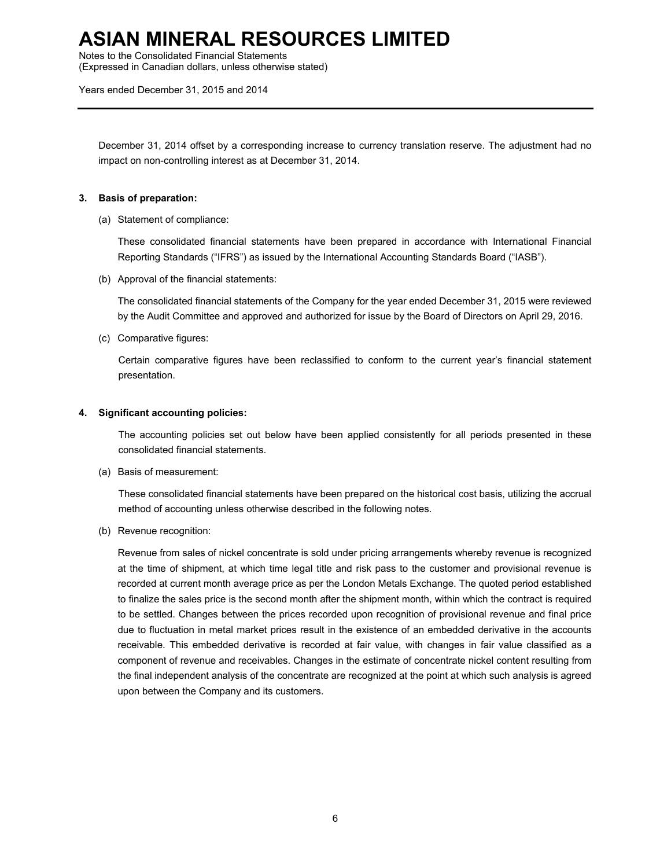Notes to the Consolidated Financial Statements

(Expressed in Canadian dollars, unless otherwise stated)

Years ended December 31, 2015 and 2014

December 31, 2014 offset by a corresponding increase to currency translation reserve. The adjustment had no impact on non-controlling interest as at December 31, 2014.

### **3. Basis of preparation:**

(a) Statement of compliance:

These consolidated financial statements have been prepared in accordance with International Financial Reporting Standards ("IFRS") as issued by the International Accounting Standards Board ("IASB").

(b) Approval of the financial statements:

The consolidated financial statements of the Company for the year ended December 31, 2015 were reviewed by the Audit Committee and approved and authorized for issue by the Board of Directors on April 29, 2016.

(c) Comparative figures:

 Certain comparative figures have been reclassified to conform to the current year's financial statement presentation.

#### **4. Significant accounting policies:**

The accounting policies set out below have been applied consistently for all periods presented in these consolidated financial statements.

(a) Basis of measurement:

These consolidated financial statements have been prepared on the historical cost basis, utilizing the accrual method of accounting unless otherwise described in the following notes.

(b) Revenue recognition:

Revenue from sales of nickel concentrate is sold under pricing arrangements whereby revenue is recognized at the time of shipment, at which time legal title and risk pass to the customer and provisional revenue is recorded at current month average price as per the London Metals Exchange. The quoted period established to finalize the sales price is the second month after the shipment month, within which the contract is required to be settled. Changes between the prices recorded upon recognition of provisional revenue and final price due to fluctuation in metal market prices result in the existence of an embedded derivative in the accounts receivable. This embedded derivative is recorded at fair value, with changes in fair value classified as a component of revenue and receivables. Changes in the estimate of concentrate nickel content resulting from the final independent analysis of the concentrate are recognized at the point at which such analysis is agreed upon between the Company and its customers.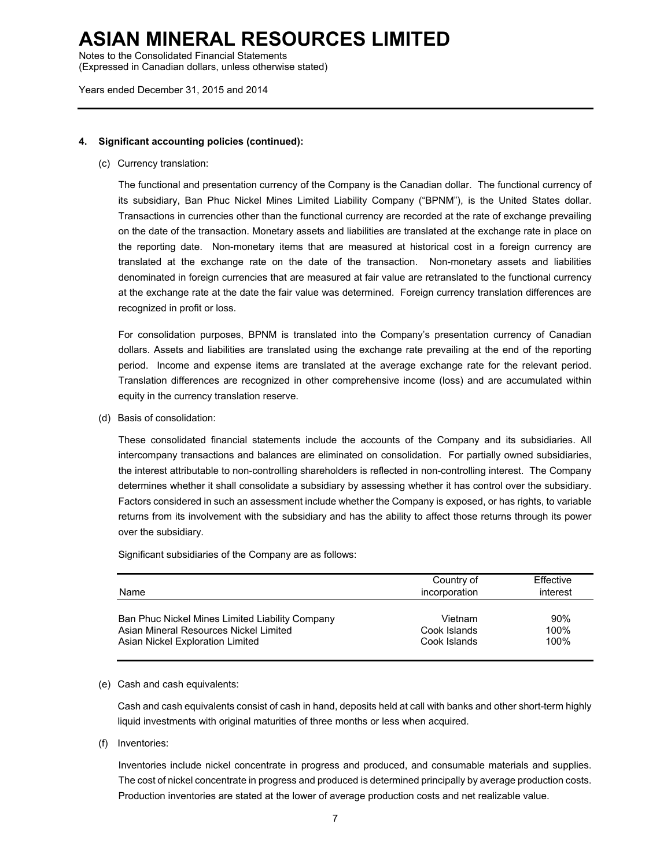Notes to the Consolidated Financial Statements

(Expressed in Canadian dollars, unless otherwise stated)

Years ended December 31, 2015 and 2014

#### **4. Significant accounting policies (continued):**

(c) Currency translation:

The functional and presentation currency of the Company is the Canadian dollar. The functional currency of its subsidiary, Ban Phuc Nickel Mines Limited Liability Company ("BPNM"), is the United States dollar. Transactions in currencies other than the functional currency are recorded at the rate of exchange prevailing on the date of the transaction. Monetary assets and liabilities are translated at the exchange rate in place on the reporting date. Non-monetary items that are measured at historical cost in a foreign currency are translated at the exchange rate on the date of the transaction. Non-monetary assets and liabilities denominated in foreign currencies that are measured at fair value are retranslated to the functional currency at the exchange rate at the date the fair value was determined. Foreign currency translation differences are recognized in profit or loss.

 For consolidation purposes, BPNM is translated into the Company's presentation currency of Canadian dollars. Assets and liabilities are translated using the exchange rate prevailing at the end of the reporting period. Income and expense items are translated at the average exchange rate for the relevant period. Translation differences are recognized in other comprehensive income (loss) and are accumulated within equity in the currency translation reserve.

(d) Basis of consolidation:

These consolidated financial statements include the accounts of the Company and its subsidiaries. All intercompany transactions and balances are eliminated on consolidation. For partially owned subsidiaries, the interest attributable to non-controlling shareholders is reflected in non-controlling interest. The Company determines whether it shall consolidate a subsidiary by assessing whether it has control over the subsidiary. Factors considered in such an assessment include whether the Company is exposed, or has rights, to variable returns from its involvement with the subsidiary and has the ability to affect those returns through its power over the subsidiary.

Significant subsidiaries of the Company are as follows:

| Name                                            | Country of<br>incorporation | Effective<br>interest |
|-------------------------------------------------|-----------------------------|-----------------------|
| Ban Phuc Nickel Mines Limited Liability Company | Vietnam                     | 90%                   |
| Asian Mineral Resources Nickel Limited          | Cook Islands                | 100%                  |
| Asian Nickel Exploration Limited                | Cook Islands                | 100%                  |

#### (e) Cash and cash equivalents:

Cash and cash equivalents consist of cash in hand, deposits held at call with banks and other short-term highly liquid investments with original maturities of three months or less when acquired.

(f) Inventories:

Inventories include nickel concentrate in progress and produced, and consumable materials and supplies. The cost of nickel concentrate in progress and produced is determined principally by average production costs. Production inventories are stated at the lower of average production costs and net realizable value.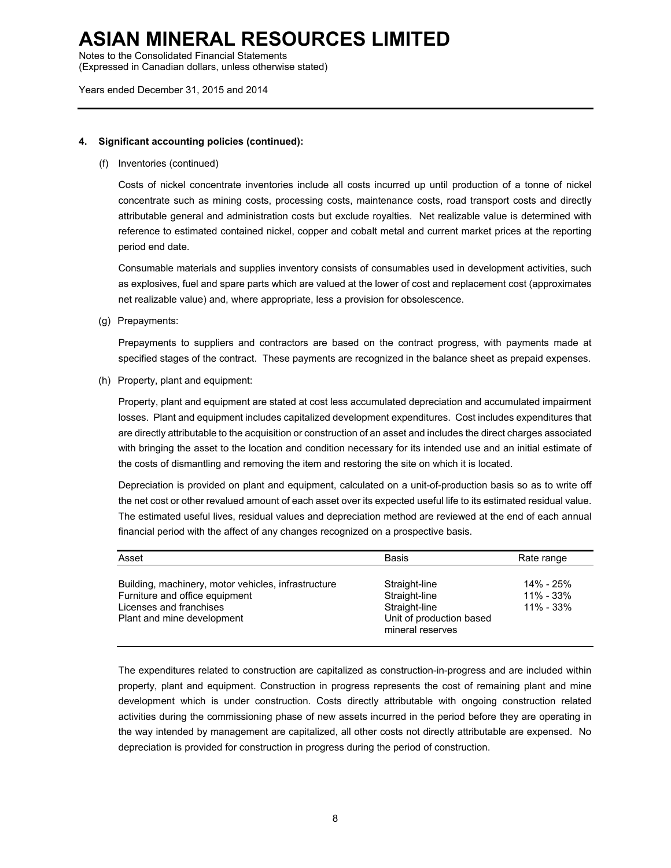Notes to the Consolidated Financial Statements

(Expressed in Canadian dollars, unless otherwise stated)

Years ended December 31, 2015 and 2014

#### **4. Significant accounting policies (continued):**

(f) Inventories (continued)

Costs of nickel concentrate inventories include all costs incurred up until production of a tonne of nickel concentrate such as mining costs, processing costs, maintenance costs, road transport costs and directly attributable general and administration costs but exclude royalties. Net realizable value is determined with reference to estimated contained nickel, copper and cobalt metal and current market prices at the reporting period end date.

Consumable materials and supplies inventory consists of consumables used in development activities, such as explosives, fuel and spare parts which are valued at the lower of cost and replacement cost (approximates net realizable value) and, where appropriate, less a provision for obsolescence.

(g) Prepayments:

Prepayments to suppliers and contractors are based on the contract progress, with payments made at specified stages of the contract. These payments are recognized in the balance sheet as prepaid expenses.

(h) Property, plant and equipment:

Property, plant and equipment are stated at cost less accumulated depreciation and accumulated impairment losses. Plant and equipment includes capitalized development expenditures. Cost includes expenditures that are directly attributable to the acquisition or construction of an asset and includes the direct charges associated with bringing the asset to the location and condition necessary for its intended use and an initial estimate of the costs of dismantling and removing the item and restoring the site on which it is located.

Depreciation is provided on plant and equipment, calculated on a unit-of-production basis so as to write off the net cost or other revalued amount of each asset over its expected useful life to its estimated residual value. The estimated useful lives, residual values and depreciation method are reviewed at the end of each annual financial period with the affect of any changes recognized on a prospective basis.

| Asset                                                                                                                                          | <b>Basis</b>                                                                                    | Rate range                                  |
|------------------------------------------------------------------------------------------------------------------------------------------------|-------------------------------------------------------------------------------------------------|---------------------------------------------|
| Building, machinery, motor vehicles, infrastructure<br>Furniture and office equipment<br>Licenses and franchises<br>Plant and mine development | Straight-line<br>Straight-line<br>Straight-line<br>Unit of production based<br>mineral reserves | 14% - 25%<br>$11\% - 33\%$<br>$11\% - 33\%$ |

The expenditures related to construction are capitalized as construction-in-progress and are included within property, plant and equipment. Construction in progress represents the cost of remaining plant and mine development which is under construction. Costs directly attributable with ongoing construction related activities during the commissioning phase of new assets incurred in the period before they are operating in the way intended by management are capitalized, all other costs not directly attributable are expensed. No depreciation is provided for construction in progress during the period of construction.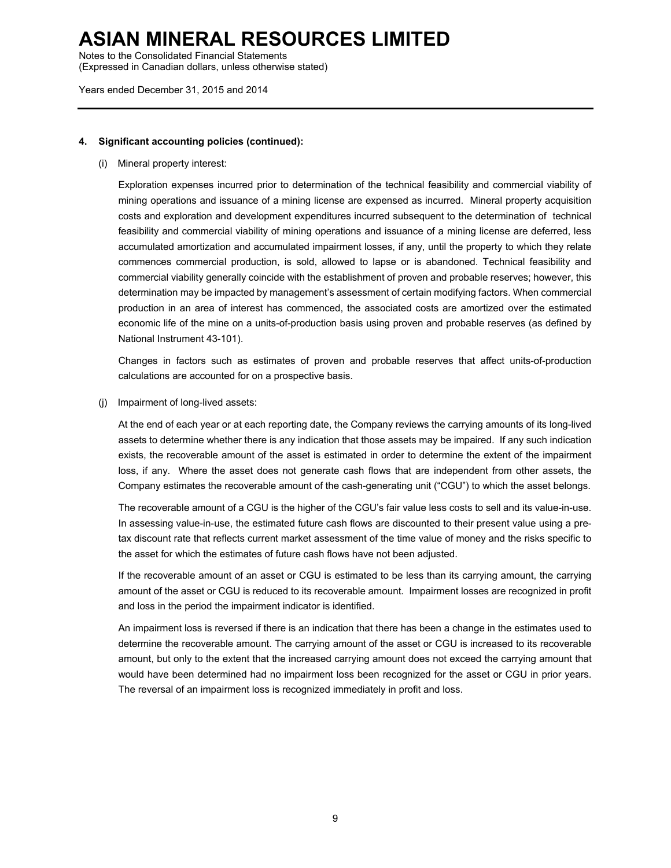Notes to the Consolidated Financial Statements

(Expressed in Canadian dollars, unless otherwise stated)

Years ended December 31, 2015 and 2014

### **4. Significant accounting policies (continued):**

(i) Mineral property interest:

Exploration expenses incurred prior to determination of the technical feasibility and commercial viability of mining operations and issuance of a mining license are expensed as incurred. Mineral property acquisition costs and exploration and development expenditures incurred subsequent to the determination of technical feasibility and commercial viability of mining operations and issuance of a mining license are deferred, less accumulated amortization and accumulated impairment losses, if any, until the property to which they relate commences commercial production, is sold, allowed to lapse or is abandoned. Technical feasibility and commercial viability generally coincide with the establishment of proven and probable reserves; however, this determination may be impacted by management's assessment of certain modifying factors. When commercial production in an area of interest has commenced, the associated costs are amortized over the estimated economic life of the mine on a units-of-production basis using proven and probable reserves (as defined by National Instrument 43-101).

Changes in factors such as estimates of proven and probable reserves that affect units-of-production calculations are accounted for on a prospective basis.

(j) Impairment of long-lived assets:

At the end of each year or at each reporting date, the Company reviews the carrying amounts of its long-lived assets to determine whether there is any indication that those assets may be impaired. If any such indication exists, the recoverable amount of the asset is estimated in order to determine the extent of the impairment loss, if any. Where the asset does not generate cash flows that are independent from other assets, the Company estimates the recoverable amount of the cash-generating unit ("CGU") to which the asset belongs.

The recoverable amount of a CGU is the higher of the CGU's fair value less costs to sell and its value-in-use. In assessing value-in-use, the estimated future cash flows are discounted to their present value using a pretax discount rate that reflects current market assessment of the time value of money and the risks specific to the asset for which the estimates of future cash flows have not been adjusted.

If the recoverable amount of an asset or CGU is estimated to be less than its carrying amount, the carrying amount of the asset or CGU is reduced to its recoverable amount. Impairment losses are recognized in profit and loss in the period the impairment indicator is identified.

An impairment loss is reversed if there is an indication that there has been a change in the estimates used to determine the recoverable amount. The carrying amount of the asset or CGU is increased to its recoverable amount, but only to the extent that the increased carrying amount does not exceed the carrying amount that would have been determined had no impairment loss been recognized for the asset or CGU in prior years. The reversal of an impairment loss is recognized immediately in profit and loss.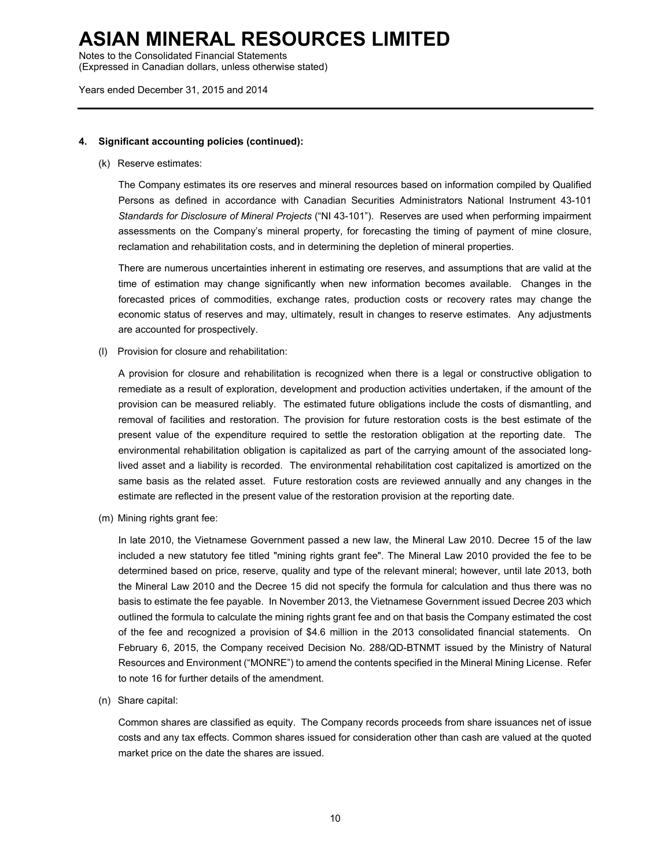Notes to the Consolidated Financial Statements

(Expressed in Canadian dollars, unless otherwise stated)

Years ended December 31, 2015 and 2014

#### **4. Significant accounting policies (continued):**

#### (k) Reserve estimates:

The Company estimates its ore reserves and mineral resources based on information compiled by Qualified Persons as defined in accordance with Canadian Securities Administrators National Instrument 43-101 *Standards for Disclosure of Mineral Projects* ("NI 43-101"). Reserves are used when performing impairment assessments on the Company's mineral property, for forecasting the timing of payment of mine closure, reclamation and rehabilitation costs, and in determining the depletion of mineral properties.

There are numerous uncertainties inherent in estimating ore reserves, and assumptions that are valid at the time of estimation may change significantly when new information becomes available. Changes in the forecasted prices of commodities, exchange rates, production costs or recovery rates may change the economic status of reserves and may, ultimately, result in changes to reserve estimates. Any adjustments are accounted for prospectively.

(l) Provision for closure and rehabilitation:

A provision for closure and rehabilitation is recognized when there is a legal or constructive obligation to remediate as a result of exploration, development and production activities undertaken, if the amount of the provision can be measured reliably. The estimated future obligations include the costs of dismantling, and removal of facilities and restoration. The provision for future restoration costs is the best estimate of the present value of the expenditure required to settle the restoration obligation at the reporting date. The environmental rehabilitation obligation is capitalized as part of the carrying amount of the associated longlived asset and a liability is recorded. The environmental rehabilitation cost capitalized is amortized on the same basis as the related asset. Future restoration costs are reviewed annually and any changes in the estimate are reflected in the present value of the restoration provision at the reporting date.

(m) Mining rights grant fee:

 In late 2010, the Vietnamese Government passed a new law, the Mineral Law 2010. Decree 15 of the law included a new statutory fee titled "mining rights grant fee". The Mineral Law 2010 provided the fee to be determined based on price, reserve, quality and type of the relevant mineral; however, until late 2013, both the Mineral Law 2010 and the Decree 15 did not specify the formula for calculation and thus there was no basis to estimate the fee payable. In November 2013, the Vietnamese Government issued Decree 203 which outlined the formula to calculate the mining rights grant fee and on that basis the Company estimated the cost of the fee and recognized a provision of \$4.6 million in the 2013 consolidated financial statements. On February 6, 2015, the Company received Decision No. 288/QD-BTNMT issued by the Ministry of Natural Resources and Environment ("MONRE") to amend the contents specified in the Mineral Mining License. Refer to note 16 for further details of the amendment.

(n) Share capital:

Common shares are classified as equity. The Company records proceeds from share issuances net of issue costs and any tax effects. Common shares issued for consideration other than cash are valued at the quoted market price on the date the shares are issued.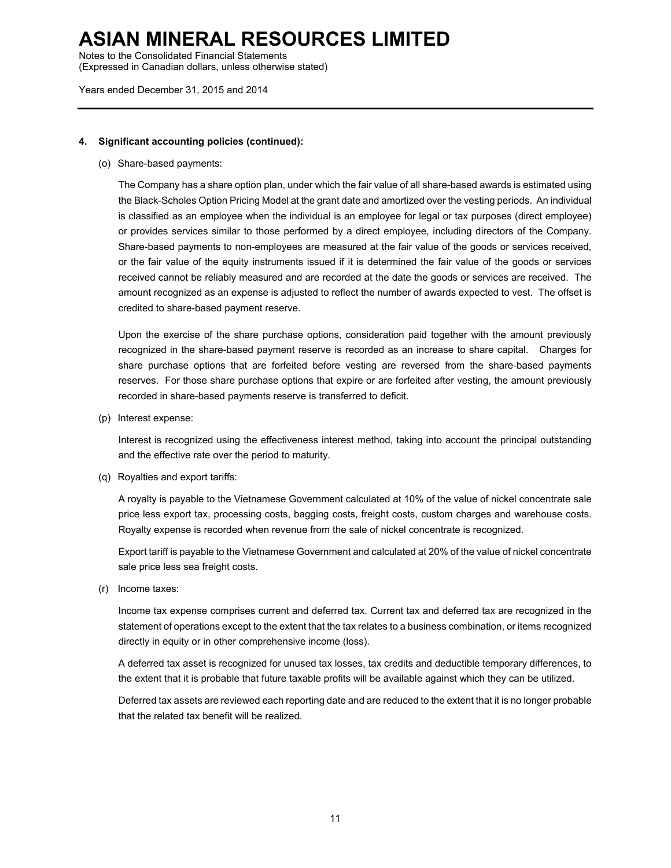Notes to the Consolidated Financial Statements

(Expressed in Canadian dollars, unless otherwise stated)

Years ended December 31, 2015 and 2014

### **4. Significant accounting policies (continued):**

(o) Share-based payments:

The Company has a share option plan, under which the fair value of all share-based awards is estimated using the Black-Scholes Option Pricing Model at the grant date and amortized over the vesting periods. An individual is classified as an employee when the individual is an employee for legal or tax purposes (direct employee) or provides services similar to those performed by a direct employee, including directors of the Company. Share-based payments to non-employees are measured at the fair value of the goods or services received, or the fair value of the equity instruments issued if it is determined the fair value of the goods or services received cannot be reliably measured and are recorded at the date the goods or services are received. The amount recognized as an expense is adjusted to reflect the number of awards expected to vest. The offset is credited to share-based payment reserve.

Upon the exercise of the share purchase options, consideration paid together with the amount previously recognized in the share-based payment reserve is recorded as an increase to share capital. Charges for share purchase options that are forfeited before vesting are reversed from the share-based payments reserves. For those share purchase options that expire or are forfeited after vesting, the amount previously recorded in share-based payments reserve is transferred to deficit.

(p) Interest expense:

Interest is recognized using the effectiveness interest method, taking into account the principal outstanding and the effective rate over the period to maturity.

(q) Royalties and export tariffs:

A royalty is payable to the Vietnamese Government calculated at 10% of the value of nickel concentrate sale price less export tax, processing costs, bagging costs, freight costs, custom charges and warehouse costs. Royalty expense is recorded when revenue from the sale of nickel concentrate is recognized.

Export tariff is payable to the Vietnamese Government and calculated at 20% of the value of nickel concentrate sale price less sea freight costs.

(r) Income taxes:

Income tax expense comprises current and deferred tax. Current tax and deferred tax are recognized in the statement of operations except to the extent that the tax relates to a business combination, or items recognized directly in equity or in other comprehensive income (loss).

A deferred tax asset is recognized for unused tax losses, tax credits and deductible temporary differences, to the extent that it is probable that future taxable profits will be available against which they can be utilized.

Deferred tax assets are reviewed each reporting date and are reduced to the extent that it is no longer probable that the related tax benefit will be realized.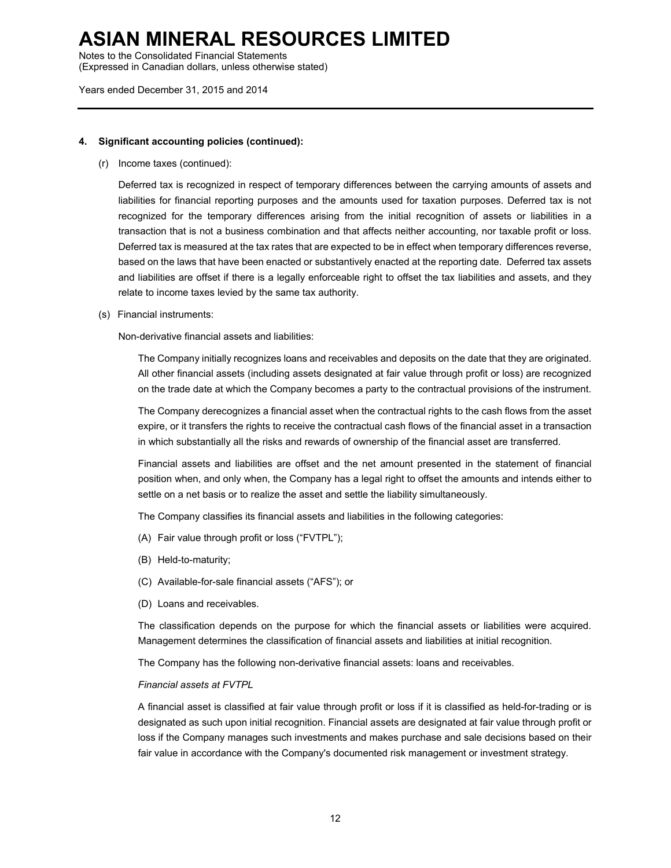Notes to the Consolidated Financial Statements

(Expressed in Canadian dollars, unless otherwise stated)

Years ended December 31, 2015 and 2014

#### **4. Significant accounting policies (continued):**

(r) Income taxes (continued):

Deferred tax is recognized in respect of temporary differences between the carrying amounts of assets and liabilities for financial reporting purposes and the amounts used for taxation purposes. Deferred tax is not recognized for the temporary differences arising from the initial recognition of assets or liabilities in a transaction that is not a business combination and that affects neither accounting, nor taxable profit or loss. Deferred tax is measured at the tax rates that are expected to be in effect when temporary differences reverse, based on the laws that have been enacted or substantively enacted at the reporting date. Deferred tax assets and liabilities are offset if there is a legally enforceable right to offset the tax liabilities and assets, and they relate to income taxes levied by the same tax authority.

(s) Financial instruments:

Non-derivative financial assets and liabilities:

The Company initially recognizes loans and receivables and deposits on the date that they are originated. All other financial assets (including assets designated at fair value through profit or loss) are recognized on the trade date at which the Company becomes a party to the contractual provisions of the instrument.

The Company derecognizes a financial asset when the contractual rights to the cash flows from the asset expire, or it transfers the rights to receive the contractual cash flows of the financial asset in a transaction in which substantially all the risks and rewards of ownership of the financial asset are transferred.

Financial assets and liabilities are offset and the net amount presented in the statement of financial position when, and only when, the Company has a legal right to offset the amounts and intends either to settle on a net basis or to realize the asset and settle the liability simultaneously.

The Company classifies its financial assets and liabilities in the following categories:

- (A) Fair value through profit or loss ("FVTPL");
- (B) Held-to-maturity;
- (C) Available-for-sale financial assets ("AFS"); or
- (D) Loans and receivables.

The classification depends on the purpose for which the financial assets or liabilities were acquired. Management determines the classification of financial assets and liabilities at initial recognition.

The Company has the following non-derivative financial assets: loans and receivables.

#### *Financial assets at FVTPL*

A financial asset is classified at fair value through profit or loss if it is classified as held-for-trading or is designated as such upon initial recognition. Financial assets are designated at fair value through profit or loss if the Company manages such investments and makes purchase and sale decisions based on their fair value in accordance with the Company's documented risk management or investment strategy.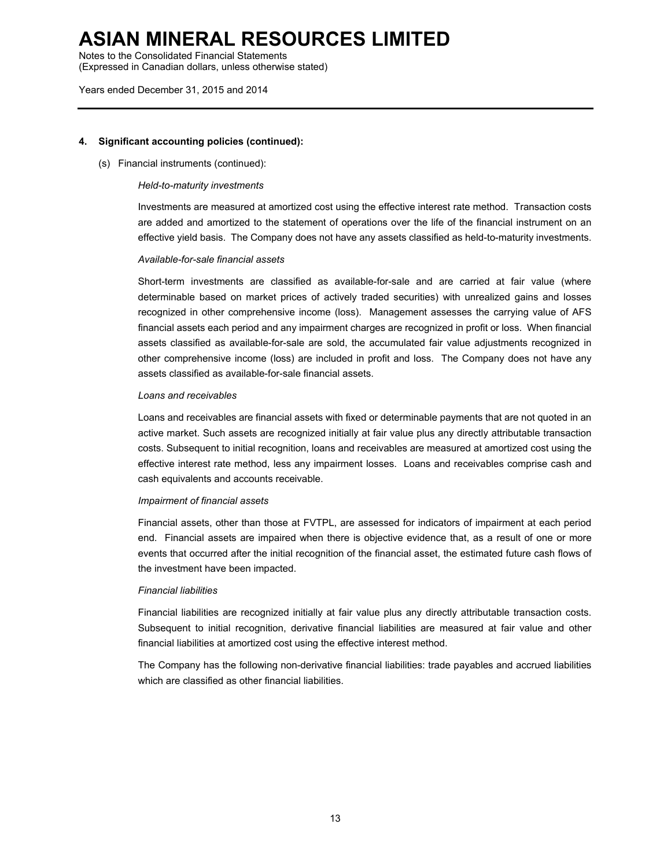Notes to the Consolidated Financial Statements

(Expressed in Canadian dollars, unless otherwise stated)

#### Years ended December 31, 2015 and 2014

#### **4. Significant accounting policies (continued):**

(s) Financial instruments (continued):

#### *Held-to-maturity investments*

Investments are measured at amortized cost using the effective interest rate method. Transaction costs are added and amortized to the statement of operations over the life of the financial instrument on an effective yield basis. The Company does not have any assets classified as held-to-maturity investments.

#### *Available-for-sale financial assets*

Short-term investments are classified as available-for-sale and are carried at fair value (where determinable based on market prices of actively traded securities) with unrealized gains and losses recognized in other comprehensive income (loss). Management assesses the carrying value of AFS financial assets each period and any impairment charges are recognized in profit or loss. When financial assets classified as available-for-sale are sold, the accumulated fair value adjustments recognized in other comprehensive income (loss) are included in profit and loss. The Company does not have any assets classified as available-for-sale financial assets.

#### *Loans and receivables*

Loans and receivables are financial assets with fixed or determinable payments that are not quoted in an active market. Such assets are recognized initially at fair value plus any directly attributable transaction costs. Subsequent to initial recognition, loans and receivables are measured at amortized cost using the effective interest rate method, less any impairment losses. Loans and receivables comprise cash and cash equivalents and accounts receivable.

#### *Impairment of financial assets*

Financial assets, other than those at FVTPL, are assessed for indicators of impairment at each period end. Financial assets are impaired when there is objective evidence that, as a result of one or more events that occurred after the initial recognition of the financial asset, the estimated future cash flows of the investment have been impacted.

#### *Financial liabilities*

Financial liabilities are recognized initially at fair value plus any directly attributable transaction costs. Subsequent to initial recognition, derivative financial liabilities are measured at fair value and other financial liabilities at amortized cost using the effective interest method.

The Company has the following non-derivative financial liabilities: trade payables and accrued liabilities which are classified as other financial liabilities.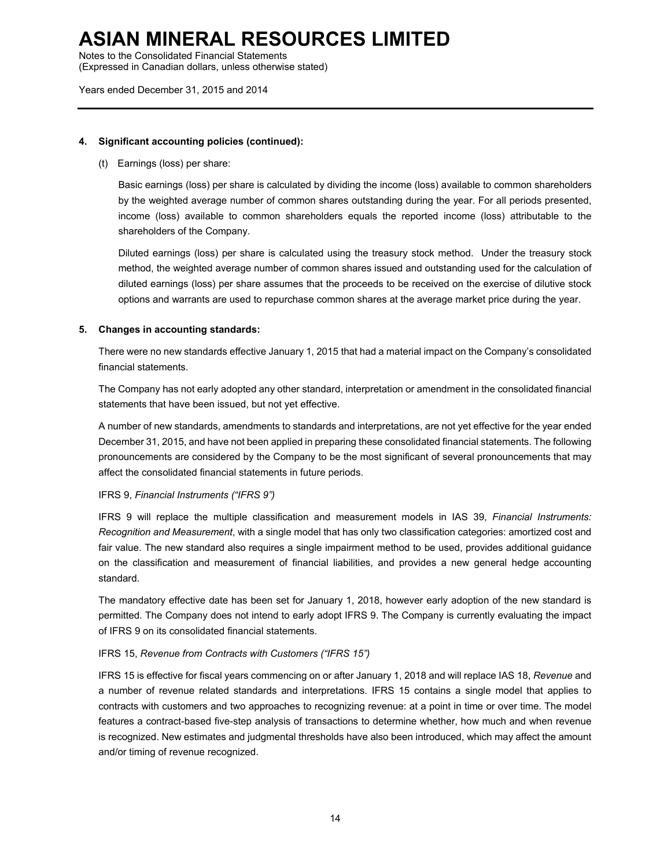Notes to the Consolidated Financial Statements

(Expressed in Canadian dollars, unless otherwise stated)

Years ended December 31, 2015 and 2014

### **4. Significant accounting policies (continued):**

(t) Earnings (loss) per share:

Basic earnings (loss) per share is calculated by dividing the income (loss) available to common shareholders by the weighted average number of common shares outstanding during the year. For all periods presented, income (loss) available to common shareholders equals the reported income (loss) attributable to the shareholders of the Company.

Diluted earnings (loss) per share is calculated using the treasury stock method. Under the treasury stock method, the weighted average number of common shares issued and outstanding used for the calculation of diluted earnings (loss) per share assumes that the proceeds to be received on the exercise of dilutive stock options and warrants are used to repurchase common shares at the average market price during the year.

### **5. Changes in accounting standards:**

There were no new standards effective January 1, 2015 that had a material impact on the Company's consolidated financial statements.

The Company has not early adopted any other standard, interpretation or amendment in the consolidated financial statements that have been issued, but not yet effective.

A number of new standards, amendments to standards and interpretations, are not yet effective for the year ended December 31, 2015, and have not been applied in preparing these consolidated financial statements. The following pronouncements are considered by the Company to be the most significant of several pronouncements that may affect the consolidated financial statements in future periods.

### IFRS 9, *Financial Instruments ("IFRS 9")*

IFRS 9 will replace the multiple classification and measurement models in IAS 39, *Financial Instruments: Recognition and Measurement*, with a single model that has only two classification categories: amortized cost and fair value. The new standard also requires a single impairment method to be used, provides additional guidance on the classification and measurement of financial liabilities, and provides a new general hedge accounting standard.

The mandatory effective date has been set for January 1, 2018, however early adoption of the new standard is permitted. The Company does not intend to early adopt IFRS 9. The Company is currently evaluating the impact of IFRS 9 on its consolidated financial statements.

### IFRS 15, *Revenue from Contracts with Customers ("IFRS 15")*

IFRS 15 is effective for fiscal years commencing on or after January 1, 2018 and will replace IAS 18, *Revenue* and a number of revenue related standards and interpretations. IFRS 15 contains a single model that applies to contracts with customers and two approaches to recognizing revenue: at a point in time or over time. The model features a contract-based five-step analysis of transactions to determine whether, how much and when revenue is recognized. New estimates and judgmental thresholds have also been introduced, which may affect the amount and/or timing of revenue recognized.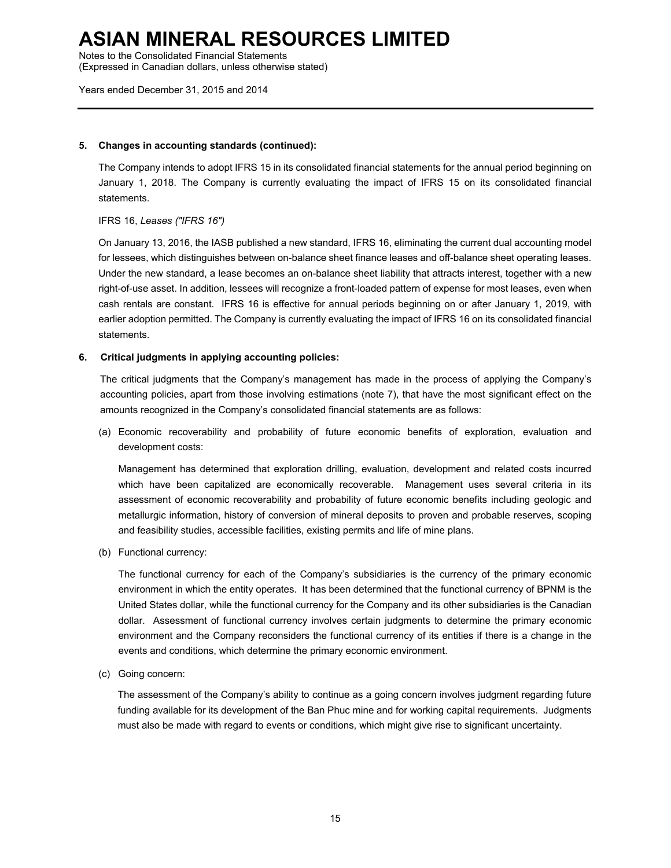Notes to the Consolidated Financial Statements

(Expressed in Canadian dollars, unless otherwise stated)

#### Years ended December 31, 2015 and 2014

### **5. Changes in accounting standards (continued):**

The Company intends to adopt IFRS 15 in its consolidated financial statements for the annual period beginning on January 1, 2018. The Company is currently evaluating the impact of IFRS 15 on its consolidated financial statements.

### IFRS 16, *Leases ("IFRS 16")*

On January 13, 2016, the IASB published a new standard, IFRS 16, eliminating the current dual accounting model for lessees, which distinguishes between on-balance sheet finance leases and off-balance sheet operating leases. Under the new standard, a lease becomes an on-balance sheet liability that attracts interest, together with a new right-of-use asset. In addition, lessees will recognize a front-loaded pattern of expense for most leases, even when cash rentals are constant. IFRS 16 is effective for annual periods beginning on or after January 1, 2019, with earlier adoption permitted. The Company is currently evaluating the impact of IFRS 16 on its consolidated financial statements.

### **6. Critical judgments in applying accounting policies:**

The critical judgments that the Company's management has made in the process of applying the Company's accounting policies, apart from those involving estimations (note 7), that have the most significant effect on the amounts recognized in the Company's consolidated financial statements are as follows:

(a) Economic recoverability and probability of future economic benefits of exploration, evaluation and development costs:

Management has determined that exploration drilling, evaluation, development and related costs incurred which have been capitalized are economically recoverable. Management uses several criteria in its assessment of economic recoverability and probability of future economic benefits including geologic and metallurgic information, history of conversion of mineral deposits to proven and probable reserves, scoping and feasibility studies, accessible facilities, existing permits and life of mine plans.

(b) Functional currency:

The functional currency for each of the Company's subsidiaries is the currency of the primary economic environment in which the entity operates. It has been determined that the functional currency of BPNM is the United States dollar, while the functional currency for the Company and its other subsidiaries is the Canadian dollar. Assessment of functional currency involves certain judgments to determine the primary economic environment and the Company reconsiders the functional currency of its entities if there is a change in the events and conditions, which determine the primary economic environment.

(c) Going concern:

The assessment of the Company's ability to continue as a going concern involves judgment regarding future funding available for its development of the Ban Phuc mine and for working capital requirements. Judgments must also be made with regard to events or conditions, which might give rise to significant uncertainty.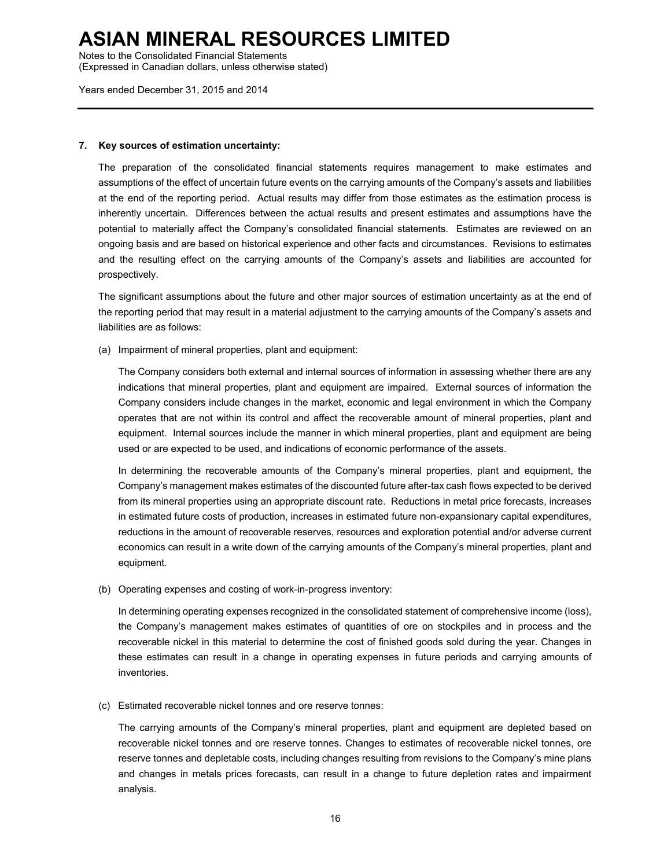Notes to the Consolidated Financial Statements

(Expressed in Canadian dollars, unless otherwise stated)

Years ended December 31, 2015 and 2014

#### **7. Key sources of estimation uncertainty:**

The preparation of the consolidated financial statements requires management to make estimates and assumptions of the effect of uncertain future events on the carrying amounts of the Company's assets and liabilities at the end of the reporting period. Actual results may differ from those estimates as the estimation process is inherently uncertain. Differences between the actual results and present estimates and assumptions have the potential to materially affect the Company's consolidated financial statements. Estimates are reviewed on an ongoing basis and are based on historical experience and other facts and circumstances. Revisions to estimates and the resulting effect on the carrying amounts of the Company's assets and liabilities are accounted for prospectively.

The significant assumptions about the future and other major sources of estimation uncertainty as at the end of the reporting period that may result in a material adjustment to the carrying amounts of the Company's assets and liabilities are as follows:

(a) Impairment of mineral properties, plant and equipment:

The Company considers both external and internal sources of information in assessing whether there are any indications that mineral properties, plant and equipment are impaired. External sources of information the Company considers include changes in the market, economic and legal environment in which the Company operates that are not within its control and affect the recoverable amount of mineral properties, plant and equipment. Internal sources include the manner in which mineral properties, plant and equipment are being used or are expected to be used, and indications of economic performance of the assets.

In determining the recoverable amounts of the Company's mineral properties, plant and equipment, the Company's management makes estimates of the discounted future after-tax cash flows expected to be derived from its mineral properties using an appropriate discount rate. Reductions in metal price forecasts, increases in estimated future costs of production, increases in estimated future non-expansionary capital expenditures, reductions in the amount of recoverable reserves, resources and exploration potential and/or adverse current economics can result in a write down of the carrying amounts of the Company's mineral properties, plant and equipment.

(b) Operating expenses and costing of work-in-progress inventory:

In determining operating expenses recognized in the consolidated statement of comprehensive income (loss), the Company's management makes estimates of quantities of ore on stockpiles and in process and the recoverable nickel in this material to determine the cost of finished goods sold during the year. Changes in these estimates can result in a change in operating expenses in future periods and carrying amounts of inventories.

(c) Estimated recoverable nickel tonnes and ore reserve tonnes:

The carrying amounts of the Company's mineral properties, plant and equipment are depleted based on recoverable nickel tonnes and ore reserve tonnes. Changes to estimates of recoverable nickel tonnes, ore reserve tonnes and depletable costs, including changes resulting from revisions to the Company's mine plans and changes in metals prices forecasts, can result in a change to future depletion rates and impairment analysis.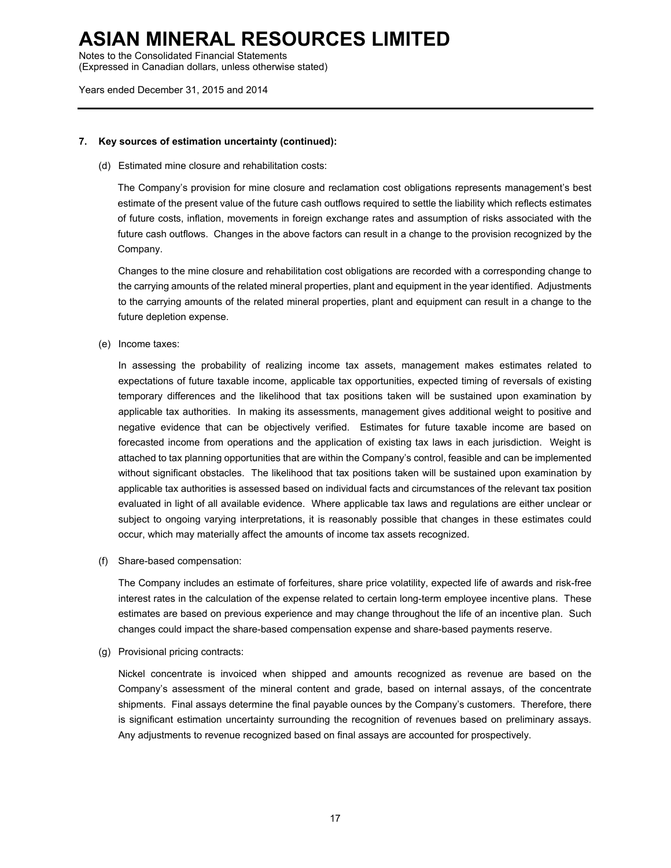Notes to the Consolidated Financial Statements

(Expressed in Canadian dollars, unless otherwise stated)

Years ended December 31, 2015 and 2014

### **7. Key sources of estimation uncertainty (continued):**

(d) Estimated mine closure and rehabilitation costs:

The Company's provision for mine closure and reclamation cost obligations represents management's best estimate of the present value of the future cash outflows required to settle the liability which reflects estimates of future costs, inflation, movements in foreign exchange rates and assumption of risks associated with the future cash outflows. Changes in the above factors can result in a change to the provision recognized by the Company.

Changes to the mine closure and rehabilitation cost obligations are recorded with a corresponding change to the carrying amounts of the related mineral properties, plant and equipment in the year identified. Adjustments to the carrying amounts of the related mineral properties, plant and equipment can result in a change to the future depletion expense.

(e) Income taxes:

In assessing the probability of realizing income tax assets, management makes estimates related to expectations of future taxable income, applicable tax opportunities, expected timing of reversals of existing temporary differences and the likelihood that tax positions taken will be sustained upon examination by applicable tax authorities. In making its assessments, management gives additional weight to positive and negative evidence that can be objectively verified. Estimates for future taxable income are based on forecasted income from operations and the application of existing tax laws in each jurisdiction. Weight is attached to tax planning opportunities that are within the Company's control, feasible and can be implemented without significant obstacles. The likelihood that tax positions taken will be sustained upon examination by applicable tax authorities is assessed based on individual facts and circumstances of the relevant tax position evaluated in light of all available evidence. Where applicable tax laws and regulations are either unclear or subject to ongoing varying interpretations, it is reasonably possible that changes in these estimates could occur, which may materially affect the amounts of income tax assets recognized.

(f) Share-based compensation:

The Company includes an estimate of forfeitures, share price volatility, expected life of awards and risk-free interest rates in the calculation of the expense related to certain long-term employee incentive plans. These estimates are based on previous experience and may change throughout the life of an incentive plan. Such changes could impact the share-based compensation expense and share-based payments reserve.

(g) Provisional pricing contracts:

Nickel concentrate is invoiced when shipped and amounts recognized as revenue are based on the Company's assessment of the mineral content and grade, based on internal assays, of the concentrate shipments. Final assays determine the final payable ounces by the Company's customers. Therefore, there is significant estimation uncertainty surrounding the recognition of revenues based on preliminary assays. Any adjustments to revenue recognized based on final assays are accounted for prospectively.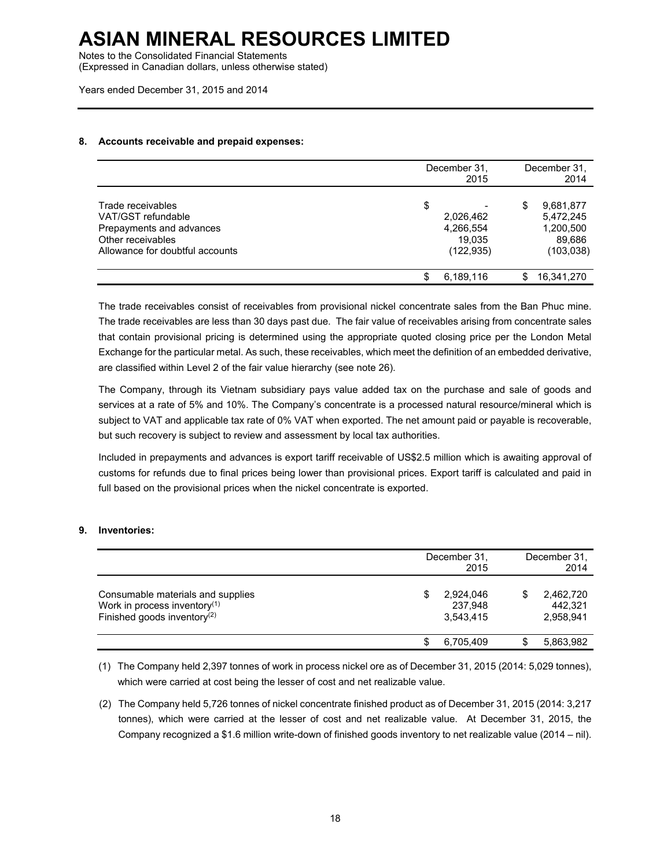Notes to the Consolidated Financial Statements

(Expressed in Canadian dollars, unless otherwise stated)

Years ended December 31, 2015 and 2014

### **8. Accounts receivable and prepaid expenses:**

|                                                                                                                             | December 31,<br>2015                                 |    | December 31,<br>2014                                        |
|-----------------------------------------------------------------------------------------------------------------------------|------------------------------------------------------|----|-------------------------------------------------------------|
| Trade receivables<br>VAT/GST refundable<br>Prepayments and advances<br>Other receivables<br>Allowance for doubtful accounts | \$<br>2,026,462<br>4,266,554<br>19.035<br>(122, 935) | \$ | 9,681,877<br>5,472,245<br>1,200,500<br>89,686<br>(103, 038) |
|                                                                                                                             | 6,189,116                                            | S  | 16,341,270                                                  |

The trade receivables consist of receivables from provisional nickel concentrate sales from the Ban Phuc mine. The trade receivables are less than 30 days past due. The fair value of receivables arising from concentrate sales that contain provisional pricing is determined using the appropriate quoted closing price per the London Metal Exchange for the particular metal. As such, these receivables, which meet the definition of an embedded derivative, are classified within Level 2 of the fair value hierarchy (see note 26).

The Company, through its Vietnam subsidiary pays value added tax on the purchase and sale of goods and services at a rate of 5% and 10%. The Company's concentrate is a processed natural resource/mineral which is subject to VAT and applicable tax rate of 0% VAT when exported. The net amount paid or payable is recoverable, but such recovery is subject to review and assessment by local tax authorities.

Included in prepayments and advances is export tariff receivable of US\$2.5 million which is awaiting approval of customs for refunds due to final prices being lower than provisional prices. Export tariff is calculated and paid in full based on the provisional prices when the nickel concentrate is exported.

### **9. Inventories:**

|                                                                                                                 | December 31.<br>2015                   | December 31.<br>2014              |
|-----------------------------------------------------------------------------------------------------------------|----------------------------------------|-----------------------------------|
| Consumable materials and supplies<br>Work in process inventory <sup>(1)</sup><br>Finished goods inventory $(2)$ | 2,924,046<br>S<br>237,948<br>3.543.415 | 2,462,720<br>442.321<br>2,958,941 |
|                                                                                                                 | 6.705.409<br>\$.                       | 5,863,982                         |

(1) The Company held 2,397 tonnes of work in process nickel ore as of December 31, 2015 (2014: 5,029 tonnes), which were carried at cost being the lesser of cost and net realizable value.

(2) The Company held 5,726 tonnes of nickel concentrate finished product as of December 31, 2015 (2014: 3,217 tonnes), which were carried at the lesser of cost and net realizable value. At December 31, 2015, the Company recognized a \$1.6 million write-down of finished goods inventory to net realizable value (2014 – nil).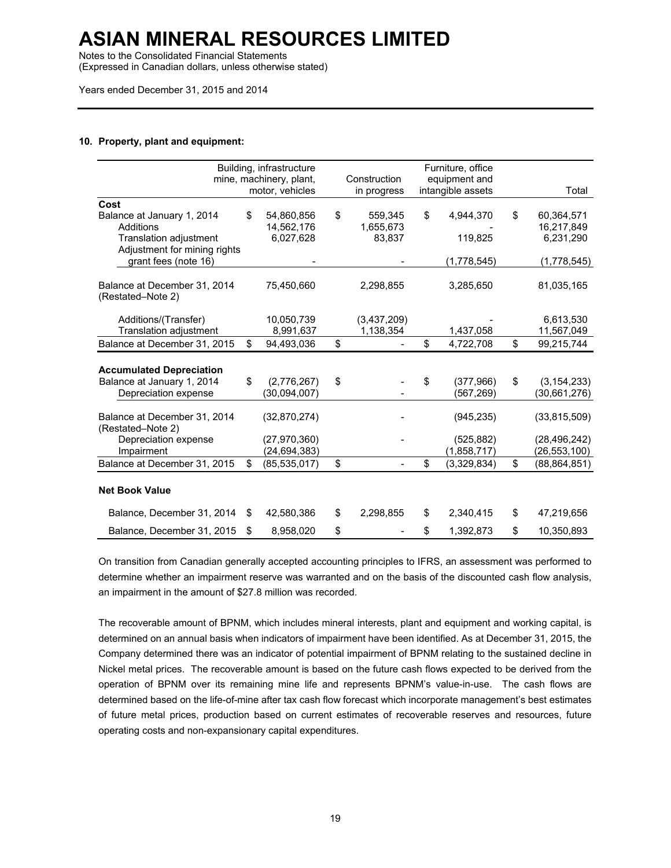Notes to the Consolidated Financial Statements

(Expressed in Canadian dollars, unless otherwise stated)

Years ended December 31, 2015 and 2014

### **10. Property, plant and equipment:**

|                                                               |    | Building, infrastructure<br>mine, machinery, plant, | Construction    | Furniture, office<br>equipment and |                      |
|---------------------------------------------------------------|----|-----------------------------------------------------|-----------------|------------------------------------|----------------------|
|                                                               |    | motor, vehicles                                     | in progress     | intangible assets                  | Total                |
| Cost                                                          |    |                                                     |                 |                                    |                      |
| Balance at January 1, 2014                                    | \$ | 54,860,856                                          | \$<br>559,345   | \$<br>4,944,370                    | \$<br>60,364,571     |
| Additions                                                     |    | 14,562,176                                          | 1,655,673       |                                    | 16,217,849           |
| Translation adjustment                                        |    | 6,027,628                                           | 83,837          | 119,825                            | 6,231,290            |
| Adjustment for mining rights                                  |    |                                                     |                 |                                    |                      |
| grant fees (note 16)                                          |    |                                                     |                 | (1,778,545)                        | (1,778,545)          |
| Balance at December 31, 2014<br>(Restated–Note 2)             |    | 75,450,660                                          | 2,298,855       | 3,285,650                          | 81,035,165           |
| Additions/(Transfer)                                          |    | 10,050,739                                          | (3,437,209)     |                                    | 6,613,530            |
| Translation adjustment                                        |    | 8,991,637                                           | 1,138,354       | 1,437,058                          | 11,567,049           |
| Balance at December 31, 2015                                  | \$ | 94,493,036                                          | \$              | \$<br>4,722,708                    | \$<br>99,215,744     |
|                                                               |    |                                                     |                 |                                    |                      |
|                                                               |    |                                                     |                 |                                    |                      |
| <b>Accumulated Depreciation</b><br>Balance at January 1, 2014 | \$ | (2,776,267)                                         | \$              | \$<br>(377, 966)                   | \$<br>(3, 154, 233)  |
| Depreciation expense                                          |    | (30,094,007)                                        |                 | (567, 269)                         | (30,661,276)         |
|                                                               |    |                                                     |                 |                                    |                      |
| Balance at December 31, 2014<br>(Restated–Note 2)             |    | (32,870,274)                                        |                 | (945, 235)                         | (33,815,509)         |
| Depreciation expense                                          |    | (27, 970, 360)                                      |                 | (525, 882)                         | (28, 496, 242)       |
| Impairment                                                    |    | (24, 694, 383)                                      |                 | (1,858,717)                        | (26, 553, 100)       |
| Balance at December 31, 2015                                  | \$ | (85, 535, 017)                                      | \$              | \$<br>(3,329,834)                  | \$<br>(88, 864, 851) |
| <b>Net Book Value</b>                                         |    |                                                     |                 |                                    |                      |
| Balance, December 31, 2014                                    | S  | 42,580,386                                          | \$<br>2,298,855 | \$<br>2,340,415                    | \$<br>47,219,656     |
| Balance, December 31, 2015                                    | \$ | 8,958,020                                           | \$              | \$<br>1.392.873                    | \$<br>10,350,893     |

On transition from Canadian generally accepted accounting principles to IFRS, an assessment was performed to determine whether an impairment reserve was warranted and on the basis of the discounted cash flow analysis, an impairment in the amount of \$27.8 million was recorded.

The recoverable amount of BPNM, which includes mineral interests, plant and equipment and working capital, is determined on an annual basis when indicators of impairment have been identified. As at December 31, 2015, the Company determined there was an indicator of potential impairment of BPNM relating to the sustained decline in Nickel metal prices. The recoverable amount is based on the future cash flows expected to be derived from the operation of BPNM over its remaining mine life and represents BPNM's value-in-use. The cash flows are determined based on the life-of-mine after tax cash flow forecast which incorporate management's best estimates of future metal prices, production based on current estimates of recoverable reserves and resources, future operating costs and non-expansionary capital expenditures.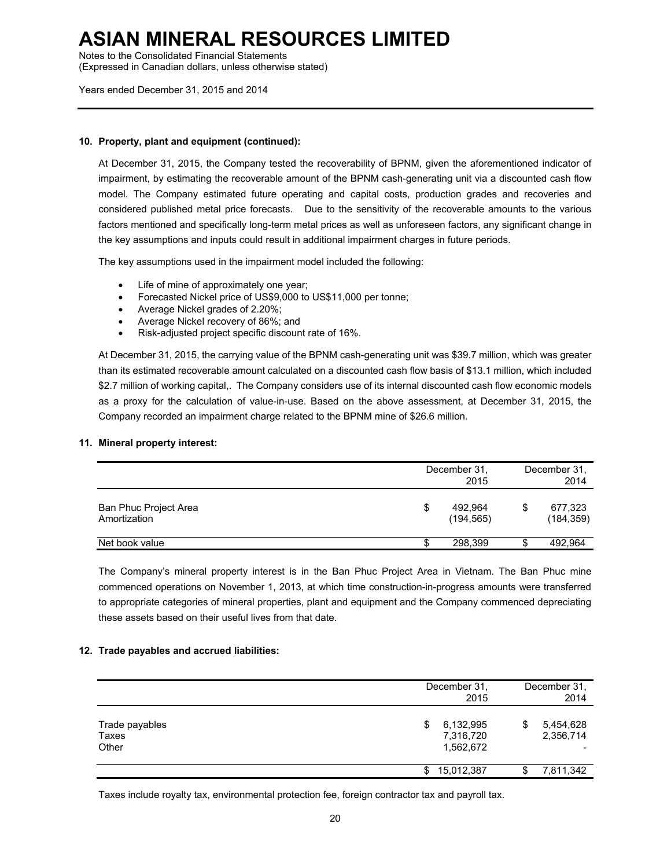Notes to the Consolidated Financial Statements

(Expressed in Canadian dollars, unless otherwise stated)

Years ended December 31, 2015 and 2014

### **10. Property, plant and equipment (continued):**

At December 31, 2015, the Company tested the recoverability of BPNM, given the aforementioned indicator of impairment, by estimating the recoverable amount of the BPNM cash-generating unit via a discounted cash flow model. The Company estimated future operating and capital costs, production grades and recoveries and considered published metal price forecasts. Due to the sensitivity of the recoverable amounts to the various factors mentioned and specifically long-term metal prices as well as unforeseen factors, any significant change in the key assumptions and inputs could result in additional impairment charges in future periods.

The key assumptions used in the impairment model included the following:

- Life of mine of approximately one year;
- Forecasted Nickel price of US\$9,000 to US\$11,000 per tonne;
- Average Nickel grades of 2.20%;
- Average Nickel recovery of 86%; and
- Risk-adjusted project specific discount rate of 16%.

At December 31, 2015, the carrying value of the BPNM cash-generating unit was \$39.7 million, which was greater than its estimated recoverable amount calculated on a discounted cash flow basis of \$13.1 million, which included \$2.7 million of working capital,. The Company considers use of its internal discounted cash flow economic models as a proxy for the calculation of value-in-use. Based on the above assessment, at December 31, 2015, the Company recorded an impairment charge related to the BPNM mine of \$26.6 million.

#### **11. Mineral property interest:**

|                                       |   | December 31,<br>2015  |   | December 31.<br>2014  |
|---------------------------------------|---|-----------------------|---|-----------------------|
| Ban Phuc Project Area<br>Amortization | S | 492.964<br>(194, 565) | S | 677,323<br>(184, 359) |
| Net book value                        |   | 298,399               | S | 492,964               |

The Company's mineral property interest is in the Ban Phuc Project Area in Vietnam. The Ban Phuc mine commenced operations on November 1, 2013, at which time construction-in-progress amounts were transferred to appropriate categories of mineral properties, plant and equipment and the Company commenced depreciating these assets based on their useful lives from that date.

#### **12. Trade payables and accrued liabilities:**

|                                  | December 31.<br>2015                     | December 31,<br>2014         |
|----------------------------------|------------------------------------------|------------------------------|
| Trade payables<br>Taxes<br>Other | 6,132,995<br>S<br>7,316,720<br>1,562,672 | \$<br>5,454,628<br>2,356,714 |
|                                  | 15,012,387<br>S.                         | 7,811,342                    |

Taxes include royalty tax, environmental protection fee, foreign contractor tax and payroll tax.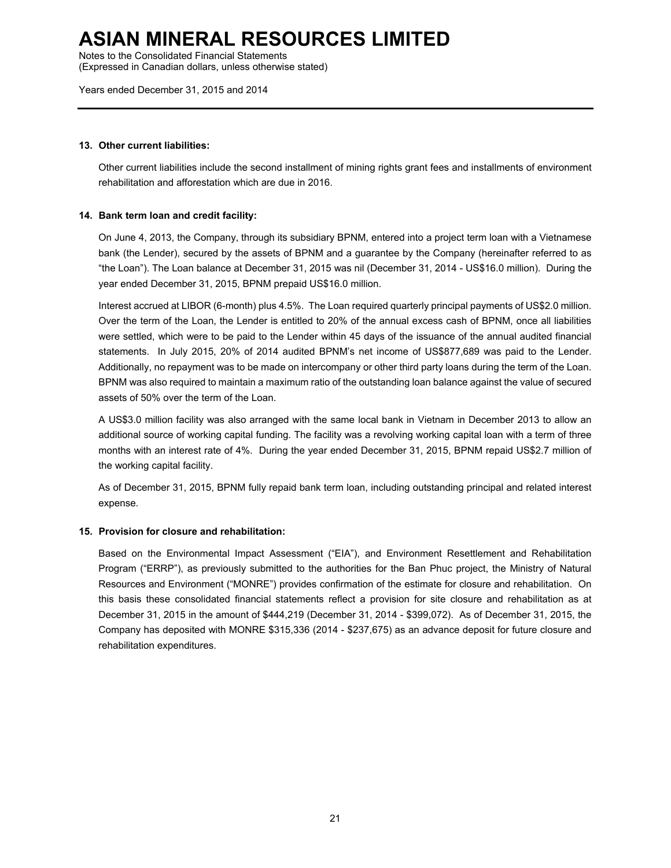Notes to the Consolidated Financial Statements

(Expressed in Canadian dollars, unless otherwise stated)

Years ended December 31, 2015 and 2014

### **13. Other current liabilities:**

Other current liabilities include the second installment of mining rights grant fees and installments of environment rehabilitation and afforestation which are due in 2016.

### **14. Bank term loan and credit facility:**

On June 4, 2013, the Company, through its subsidiary BPNM, entered into a project term loan with a Vietnamese bank (the Lender), secured by the assets of BPNM and a guarantee by the Company (hereinafter referred to as "the Loan"). The Loan balance at December 31, 2015 was nil (December 31, 2014 - US\$16.0 million). During the year ended December 31, 2015, BPNM prepaid US\$16.0 million.

Interest accrued at LIBOR (6-month) plus 4.5%. The Loan required quarterly principal payments of US\$2.0 million. Over the term of the Loan, the Lender is entitled to 20% of the annual excess cash of BPNM, once all liabilities were settled, which were to be paid to the Lender within 45 days of the issuance of the annual audited financial statements. In July 2015, 20% of 2014 audited BPNM's net income of US\$877,689 was paid to the Lender. Additionally, no repayment was to be made on intercompany or other third party loans during the term of the Loan. BPNM was also required to maintain a maximum ratio of the outstanding loan balance against the value of secured assets of 50% over the term of the Loan.

A US\$3.0 million facility was also arranged with the same local bank in Vietnam in December 2013 to allow an additional source of working capital funding. The facility was a revolving working capital loan with a term of three months with an interest rate of 4%. During the year ended December 31, 2015, BPNM repaid US\$2.7 million of the working capital facility.

As of December 31, 2015, BPNM fully repaid bank term loan, including outstanding principal and related interest expense.

### **15. Provision for closure and rehabilitation:**

Based on the Environmental Impact Assessment ("EIA"), and Environment Resettlement and Rehabilitation Program ("ERRP"), as previously submitted to the authorities for the Ban Phuc project, the Ministry of Natural Resources and Environment ("MONRE") provides confirmation of the estimate for closure and rehabilitation. On this basis these consolidated financial statements reflect a provision for site closure and rehabilitation as at December 31, 2015 in the amount of \$444,219 (December 31, 2014 - \$399,072). As of December 31, 2015, the Company has deposited with MONRE \$315,336 (2014 - \$237,675) as an advance deposit for future closure and rehabilitation expenditures.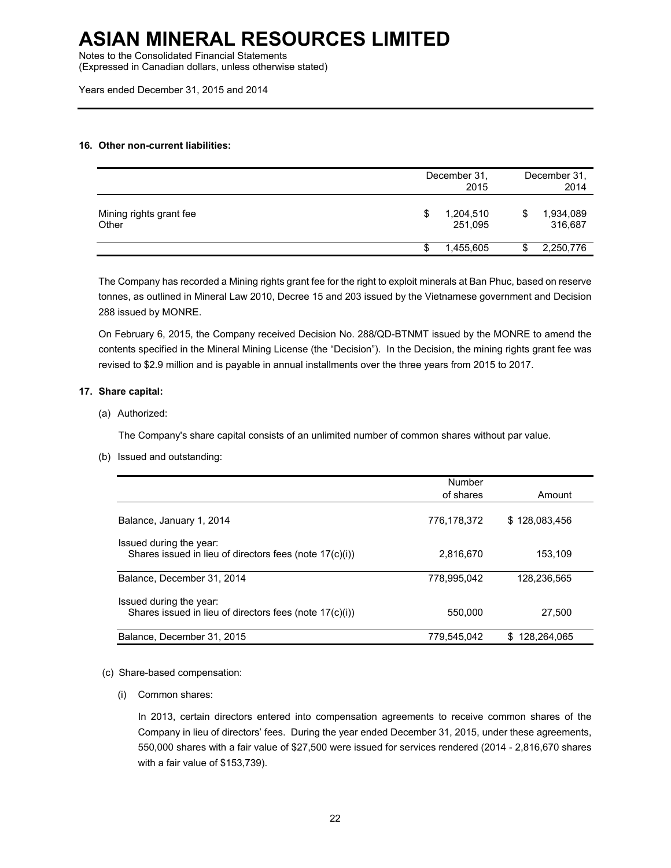Notes to the Consolidated Financial Statements

(Expressed in Canadian dollars, unless otherwise stated)

Years ended December 31, 2015 and 2014

### **16. Other non-current liabilities:**

|                                  | December 31,<br>2015       |   | December 31,<br>2014 |
|----------------------------------|----------------------------|---|----------------------|
| Mining rights grant fee<br>Other | \$<br>1,204,510<br>251,095 | S | 1,934,089<br>316,687 |
|                                  | 1,455,605                  |   | 2,250,776            |

The Company has recorded a Mining rights grant fee for the right to exploit minerals at Ban Phuc, based on reserve tonnes, as outlined in Mineral Law 2010, Decree 15 and 203 issued by the Vietnamese government and Decision 288 issued by MONRE.

On February 6, 2015, the Company received Decision No. 288/QD-BTNMT issued by the MONRE to amend the contents specified in the Mineral Mining License (the "Decision"). In the Decision, the mining rights grant fee was revised to \$2.9 million and is payable in annual installments over the three years from 2015 to 2017.

### **17. Share capital:**

(a) Authorized:

The Company's share capital consists of an unlimited number of common shares without par value.

(b) Issued and outstanding:

|                                                                                    | Number      |                    |
|------------------------------------------------------------------------------------|-------------|--------------------|
|                                                                                    | of shares   | Amount             |
| Balance, January 1, 2014                                                           | 776,178,372 | \$128,083,456      |
| Issued during the year:<br>Shares issued in lieu of directors fees (note 17(c)(i)) | 2,816,670   | 153.109            |
| Balance, December 31, 2014                                                         | 778.995.042 | 128.236.565        |
| Issued during the year:<br>Shares issued in lieu of directors fees (note 17(c)(i)) | 550,000     | 27.500             |
| Balance, December 31, 2015                                                         | 779.545.042 | 128.264.065<br>\$. |

#### (c) Share-based compensation:

(i) Common shares:

In 2013, certain directors entered into compensation agreements to receive common shares of the Company in lieu of directors' fees. During the year ended December 31, 2015, under these agreements, 550,000 shares with a fair value of \$27,500 were issued for services rendered (2014 - 2,816,670 shares with a fair value of \$153,739).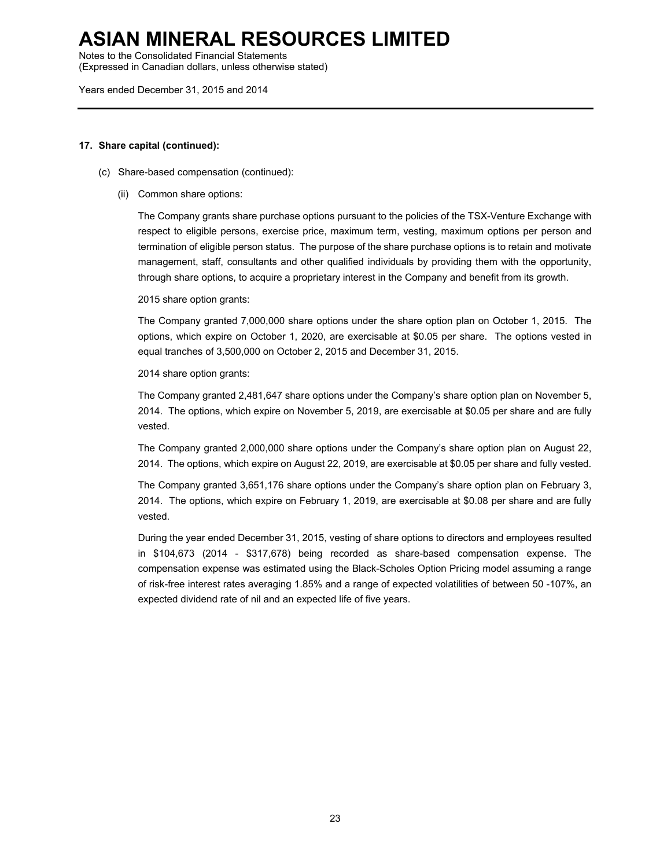Notes to the Consolidated Financial Statements

(Expressed in Canadian dollars, unless otherwise stated)

Years ended December 31, 2015 and 2014

#### **17. Share capital (continued):**

- (c) Share-based compensation (continued):
	- (ii) Common share options:

The Company grants share purchase options pursuant to the policies of the TSX-Venture Exchange with respect to eligible persons, exercise price, maximum term, vesting, maximum options per person and termination of eligible person status. The purpose of the share purchase options is to retain and motivate management, staff, consultants and other qualified individuals by providing them with the opportunity, through share options, to acquire a proprietary interest in the Company and benefit from its growth.

2015 share option grants:

The Company granted 7,000,000 share options under the share option plan on October 1, 2015. The options, which expire on October 1, 2020, are exercisable at \$0.05 per share. The options vested in equal tranches of 3,500,000 on October 2, 2015 and December 31, 2015.

2014 share option grants:

The Company granted 2,481,647 share options under the Company's share option plan on November 5, 2014. The options, which expire on November 5, 2019, are exercisable at \$0.05 per share and are fully vested.

The Company granted 2,000,000 share options under the Company's share option plan on August 22, 2014. The options, which expire on August 22, 2019, are exercisable at \$0.05 per share and fully vested.

The Company granted 3,651,176 share options under the Company's share option plan on February 3, 2014. The options, which expire on February 1, 2019, are exercisable at \$0.08 per share and are fully vested.

During the year ended December 31, 2015, vesting of share options to directors and employees resulted in \$104,673 (2014 - \$317,678) being recorded as share-based compensation expense. The compensation expense was estimated using the Black-Scholes Option Pricing model assuming a range of risk-free interest rates averaging 1.85% and a range of expected volatilities of between 50 -107%, an expected dividend rate of nil and an expected life of five years.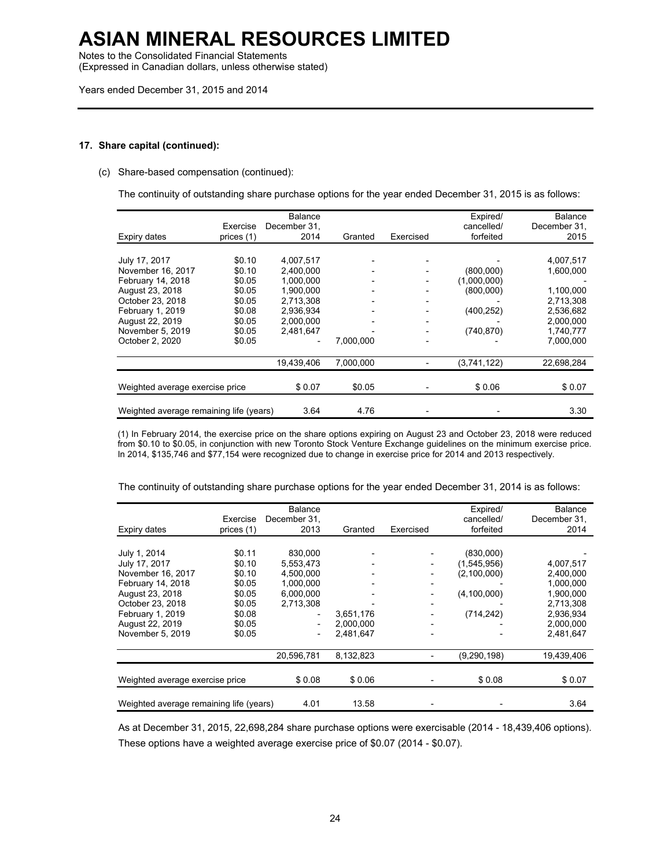Notes to the Consolidated Financial Statements

(Expressed in Canadian dollars, unless otherwise stated)

Years ended December 31, 2015 and 2014

### **17. Share capital (continued):**

(c) Share-based compensation (continued):

The continuity of outstanding share purchase options for the year ended December 31, 2015 is as follows:

| Expiry dates                            | Exercise<br>prices (1) | <b>Balance</b><br>December 31,<br>2014 | Granted   | Exercised | Expired/<br>cancelled/<br>forfeited | Balance<br>December 31,<br>2015 |
|-----------------------------------------|------------------------|----------------------------------------|-----------|-----------|-------------------------------------|---------------------------------|
|                                         |                        |                                        |           |           |                                     |                                 |
| July 17, 2017                           | \$0.10                 | 4,007,517                              |           |           |                                     | 4,007,517                       |
| November 16, 2017                       | \$0.10                 | 2,400,000                              |           |           | (800,000)                           | 1,600,000                       |
| February 14, 2018                       | \$0.05                 | 1.000.000                              |           |           | (1,000,000)                         |                                 |
| August 23, 2018                         | \$0.05                 | 1,900,000                              |           |           | (800,000)                           | 1,100,000                       |
| October 23, 2018                        | \$0.05                 | 2.713.308                              |           |           |                                     | 2.713.308                       |
| February 1, 2019                        | \$0.08                 | 2.936.934                              |           |           | (400, 252)                          | 2,536,682                       |
| August 22, 2019                         | \$0.05                 | 2.000.000                              |           |           |                                     | 2,000,000                       |
| November 5, 2019                        | \$0.05                 | 2,481,647                              |           |           | (740, 870)                          | 1,740,777                       |
| October 2, 2020                         | \$0.05                 |                                        | 7.000.000 |           |                                     | 7.000.000                       |
|                                         |                        | 19,439,406                             | 7,000,000 |           | (3,741,122)                         | 22,698,284                      |
|                                         |                        |                                        | \$0.05    |           | \$0.06                              |                                 |
| Weighted average exercise price         |                        | \$0.07                                 |           |           |                                     | \$0.07                          |
| Weighted average remaining life (years) |                        | 3.64                                   | 4.76      |           |                                     | 3.30                            |

(1) In February 2014, the exercise price on the share options expiring on August 23 and October 23, 2018 were reduced from \$0.10 to \$0.05, in conjunction with new Toronto Stock Venture Exchange guidelines on the minimum exercise price. In 2014, \$135,746 and \$77,154 were recognized due to change in exercise price for 2014 and 2013 respectively.

The continuity of outstanding share purchase options for the year ended December 31, 2014 is as follows:

| Expiry dates                                                                                                                                                              | Exercise<br>prices (1)                                                                 | Balance<br>December 31,<br>2013                                          | Granted                             | Exercised                                                                                                    | Expired/<br>cancelled/<br>forfeited                                    | Balance<br>December 31,<br>2014                                                                      |
|---------------------------------------------------------------------------------------------------------------------------------------------------------------------------|----------------------------------------------------------------------------------------|--------------------------------------------------------------------------|-------------------------------------|--------------------------------------------------------------------------------------------------------------|------------------------------------------------------------------------|------------------------------------------------------------------------------------------------------|
| July 1, 2014<br>July 17, 2017<br>November 16, 2017<br>February 14, 2018<br>August 23, 2018<br>October 23, 2018<br>February 1, 2019<br>August 22, 2019<br>November 5, 2019 | \$0.11<br>\$0.10<br>\$0.10<br>\$0.05<br>\$0.05<br>\$0.05<br>\$0.08<br>\$0.05<br>\$0.05 | 830,000<br>5.553.473<br>4.500.000<br>1,000,000<br>6,000,000<br>2.713.308 | 3,651,176<br>2.000.000<br>2.481.647 | $\overline{\phantom{a}}$<br>$\overline{\phantom{a}}$<br>$\overline{\phantom{a}}$<br>$\overline{\phantom{0}}$ | (830,000)<br>(1,545,956)<br>(2,100,000)<br>(4, 100, 000)<br>(714, 242) | 4,007,517<br>2,400,000<br>1,000,000<br>1,900,000<br>2.713.308<br>2,936,934<br>2,000,000<br>2.481.647 |
| Weighted average exercise price                                                                                                                                           |                                                                                        | 20,596,781<br>\$0.08                                                     | 8,132,823<br>\$0.06                 |                                                                                                              | (9, 290, 198)<br>\$0.08                                                | 19,439,406<br>\$0.07                                                                                 |
| Weighted average remaining life (years)                                                                                                                                   |                                                                                        | 4.01                                                                     | 13.58                               |                                                                                                              |                                                                        | 3.64                                                                                                 |

As at December 31, 2015, 22,698,284 share purchase options were exercisable (2014 - 18,439,406 options). These options have a weighted average exercise price of \$0.07 (2014 - \$0.07).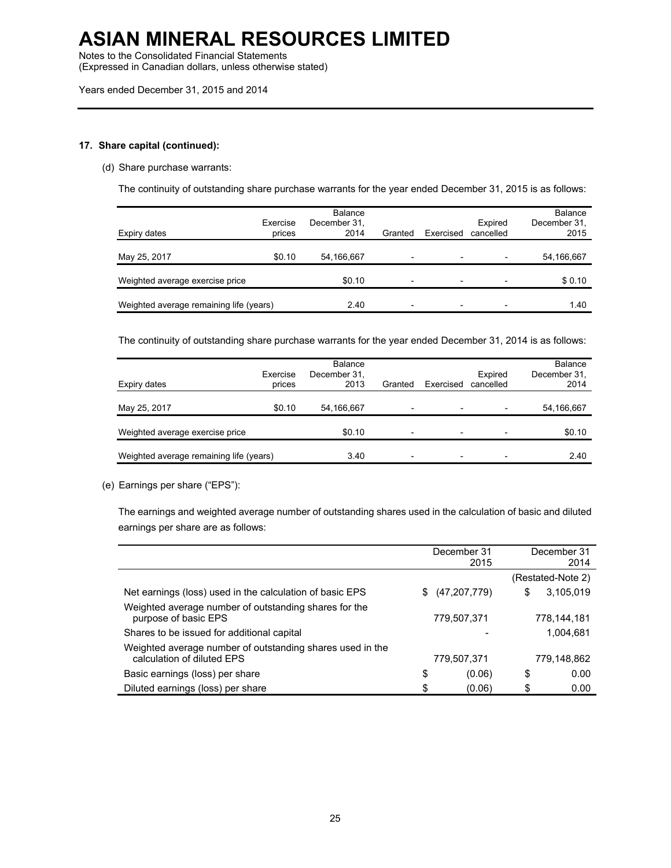Notes to the Consolidated Financial Statements

(Expressed in Canadian dollars, unless otherwise stated)

Years ended December 31, 2015 and 2014

### **17. Share capital (continued):**

### (d) Share purchase warrants:

The continuity of outstanding share purchase warrants for the year ended December 31, 2015 is as follows:

| Expiry dates                            | Exercise<br>prices | Balance<br>December 31.<br>2014 | Granted                  | Exercised                | Expired<br>cancelled | <b>Balance</b><br>December 31,<br>2015 |
|-----------------------------------------|--------------------|---------------------------------|--------------------------|--------------------------|----------------------|----------------------------------------|
| May 25, 2017                            | \$0.10             | 54,166,667                      | $\overline{\phantom{0}}$ |                          |                      | 54,166,667                             |
| Weighted average exercise price         |                    | \$0.10                          | $\overline{\phantom{0}}$ | $\overline{\phantom{0}}$ |                      | \$0.10                                 |
| Weighted average remaining life (years) |                    | 2.40                            | $\overline{\phantom{0}}$ |                          |                      | 1.40                                   |

The continuity of outstanding share purchase warrants for the year ended December 31, 2014 is as follows:

| Expiry dates                            | Exercise<br>prices | <b>Balance</b><br>December 31,<br>2013 | Granted                  | Exercised                | Expired<br>cancelled     | <b>Balance</b><br>December 31,<br>2014 |
|-----------------------------------------|--------------------|----------------------------------------|--------------------------|--------------------------|--------------------------|----------------------------------------|
| May 25, 2017                            | \$0.10             | 54,166,667                             | -                        | $\overline{\phantom{0}}$ | $\overline{\phantom{0}}$ | 54,166,667                             |
| Weighted average exercise price         |                    | \$0.10                                 | $\overline{\phantom{0}}$ | $\overline{\phantom{0}}$ | $\overline{\phantom{0}}$ | \$0.10                                 |
| Weighted average remaining life (years) |                    | 3.40                                   | -                        |                          |                          | 2.40                                   |

#### (e) Earnings per share ("EPS"):

The earnings and weighted average number of outstanding shares used in the calculation of basic and diluted earnings per share are as follows:

|                                                                                         |    | December 31<br>2015 | December 31<br>2014 |
|-----------------------------------------------------------------------------------------|----|---------------------|---------------------|
|                                                                                         |    |                     | (Restated-Note 2)   |
| Net earnings (loss) used in the calculation of basic EPS                                | S. | (47, 207, 779)      | \$<br>3,105,019     |
| Weighted average number of outstanding shares for the<br>purpose of basic EPS           |    | 779,507,371         | 778,144,181         |
| Shares to be issued for additional capital                                              |    |                     | 1,004,681           |
| Weighted average number of outstanding shares used in the<br>calculation of diluted EPS |    | 779,507,371         | 779,148,862         |
| Basic earnings (loss) per share                                                         | \$ | (0.06)              | \$<br>0.00          |
| Diluted earnings (loss) per share                                                       | \$ | (0.06)              | \$<br>0.00          |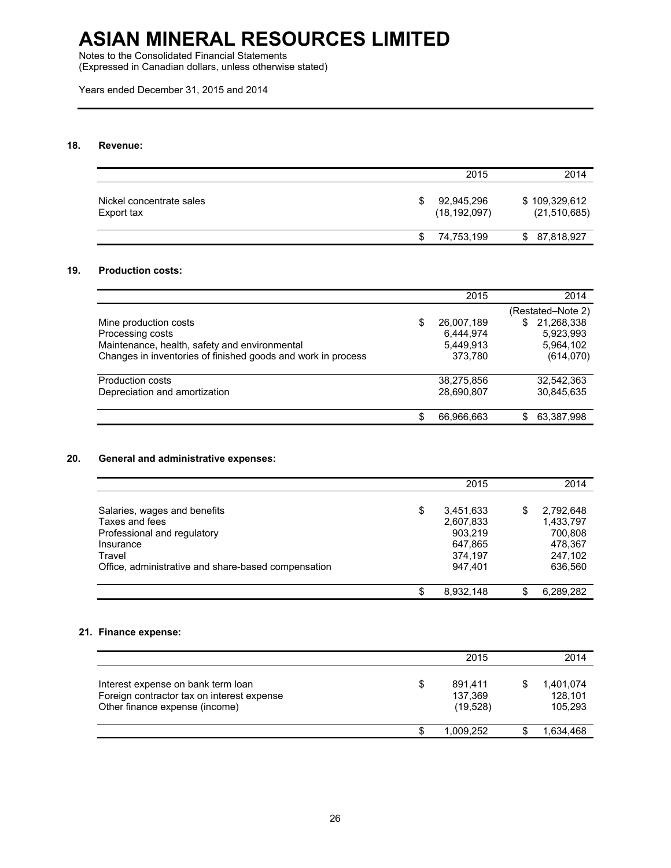Notes to the Consolidated Financial Statements

(Expressed in Canadian dollars, unless otherwise stated)

Years ended December 31, 2015 and 2014

### **18. Revenue:**

|                                        |   | 2015                         | 2014                            |
|----------------------------------------|---|------------------------------|---------------------------------|
| Nickel concentrate sales<br>Export tax |   | 92,945,296<br>(18, 192, 097) | \$109,329,612<br>(21, 510, 685) |
|                                        | S | 74,753,199                   | 87,818,927<br>S.                |

### **19. Production costs:**

|                                                              |    | 2015       | 2014              |
|--------------------------------------------------------------|----|------------|-------------------|
|                                                              |    |            | (Restated–Note 2) |
| Mine production costs                                        | S  | 26,007,189 | 21,268,338<br>S   |
| Processing costs                                             |    | 6.444.974  | 5,923,993         |
| Maintenance, health, safety and environmental                |    | 5.449.913  | 5.964.102         |
| Changes in inventories of finished goods and work in process |    | 373,780    | (614,070)         |
| Production costs                                             |    | 38,275,856 | 32,542,363        |
| Depreciation and amortization                                |    | 28,690,807 | 30,845,635        |
|                                                              |    |            |                   |
|                                                              | S. | 66,966,663 | 63,387,998<br>S   |

### **20. General and administrative expenses:**

|                                                     | 2015            |   | 2014      |
|-----------------------------------------------------|-----------------|---|-----------|
|                                                     |                 |   |           |
| Salaries, wages and benefits                        | \$<br>3,451,633 | S | 2,792,648 |
| Taxes and fees                                      | 2,607,833       |   | 1,433,797 |
| Professional and regulatory                         | 903,219         |   | 700,808   |
| Insurance                                           | 647,865         |   | 478,367   |
| Travel                                              | 374.197         |   | 247.102   |
| Office, administrative and share-based compensation | 947,401         |   | 636,560   |
|                                                     |                 |   |           |
|                                                     | 8,932,148       |   | 6,289,282 |

### **21. Finance expense:**

|                                                                                                                    |   | 2015                           | 2014                            |
|--------------------------------------------------------------------------------------------------------------------|---|--------------------------------|---------------------------------|
| Interest expense on bank term loan<br>Foreign contractor tax on interest expense<br>Other finance expense (income) | S | 891.411<br>137,369<br>(19,528) | 1,401,074<br>128,101<br>105,293 |
|                                                                                                                    |   | 1.009.252                      | 1,634,468                       |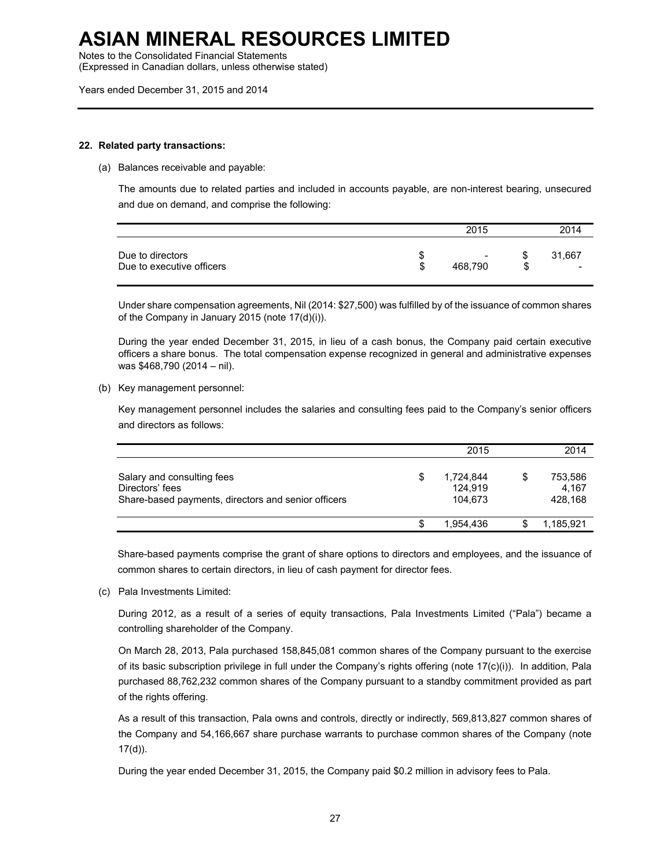Notes to the Consolidated Financial Statements

(Expressed in Canadian dollars, unless otherwise stated)

Years ended December 31, 2015 and 2014

#### **22. Related party transactions:**

(a) Balances receivable and payable:

The amounts due to related parties and included in accounts payable, are non-interest bearing, unsecured and due on demand, and comprise the following:

|                                               |   | 2015                                |         | 2014   |  |
|-----------------------------------------------|---|-------------------------------------|---------|--------|--|
| Due to directors<br>Due to executive officers | Œ | $\overline{\phantom{a}}$<br>468.790 | ง<br>\$ | 31,667 |  |

Under share compensation agreements, Nil (2014: \$27,500) was fulfilled by of the issuance of common shares of the Company in January 2015 (note 17(d)(i)).

During the year ended December 31, 2015, in lieu of a cash bonus, the Company paid certain executive officers a share bonus. The total compensation expense recognized in general and administrative expenses was \$468,790 (2014 – nil).

(b) Key management personnel:

Key management personnel includes the salaries and consulting fees paid to the Company's senior officers and directors as follows:

|                                                                                                      |   | 2015                            |   | 2014                        |
|------------------------------------------------------------------------------------------------------|---|---------------------------------|---|-----------------------------|
| Salary and consulting fees<br>Directors' fees<br>Share-based payments, directors and senior officers | S | 1,724,844<br>124.919<br>104.673 | S | 753,586<br>4.167<br>428.168 |
|                                                                                                      |   | 1.954.436                       |   | 1.185.921                   |

Share-based payments comprise the grant of share options to directors and employees, and the issuance of common shares to certain directors, in lieu of cash payment for director fees.

(c) Pala Investments Limited:

During 2012, as a result of a series of equity transactions, Pala Investments Limited ("Pala") became a controlling shareholder of the Company.

On March 28, 2013, Pala purchased 158,845,081 common shares of the Company pursuant to the exercise of its basic subscription privilege in full under the Company's rights offering (note 17(c)(i)). In addition, Pala purchased 88,762,232 common shares of the Company pursuant to a standby commitment provided as part of the rights offering.

As a result of this transaction, Pala owns and controls, directly or indirectly, 569,813,827 common shares of the Company and 54,166,667 share purchase warrants to purchase common shares of the Company (note 17(d)).

During the year ended December 31, 2015, the Company paid \$0.2 million in advisory fees to Pala.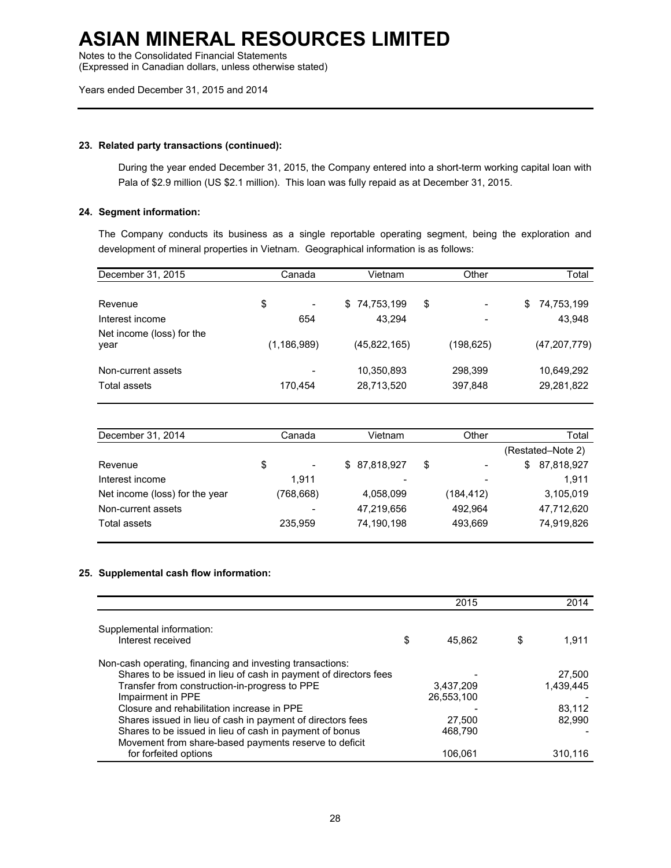Notes to the Consolidated Financial Statements

(Expressed in Canadian dollars, unless otherwise stated)

Years ended December 31, 2015 and 2014

### **23. Related party transactions (continued):**

During the year ended December 31, 2015, the Company entered into a short-term working capital loan with Pala of \$2.9 million (US \$2.1 million). This loan was fully repaid as at December 31, 2015.

#### **24. Segment information:**

The Company conducts its business as a single reportable operating segment, being the exploration and development of mineral properties in Vietnam. Geographical information is as follows:

| December 31, 2015                  | Canada        | Vietnam                  | Other              | Total                    |
|------------------------------------|---------------|--------------------------|--------------------|--------------------------|
|                                    |               |                          |                    |                          |
| Revenue                            | \$<br>-       | \$74,753,199<br>\$       |                    | 74,753,199<br>S.         |
| Interest income                    | 654           | 43.294                   |                    | 43,948                   |
| Net income (loss) for the<br>year  | (1, 186, 989) | (45,822,165)             | (198, 625)         | (47, 207, 779)           |
| Non-current assets<br>Total assets | -<br>170.454  | 10,350,893<br>28,713,520 | 298,399<br>397,848 | 10,649,292<br>29,281,822 |

| December 31, 2014              | Canada                         | Vietnam       | Other                          | Total             |
|--------------------------------|--------------------------------|---------------|--------------------------------|-------------------|
|                                |                                |               |                                | (Restated–Note 2) |
| Revenue                        | \$<br>$\overline{\phantom{a}}$ | \$ 87,818,927 | \$<br>$\overline{\phantom{a}}$ | 87,818,927<br>S   |
| Interest income                | 1.911                          | -             | $\overline{\phantom{a}}$       | 1.911             |
| Net income (loss) for the year | (768,668)                      | 4,058,099     | (184, 412)                     | 3,105,019         |
| Non-current assets             | $\overline{\phantom{0}}$       | 47.219.656    | 492.964                        | 47,712,620        |
| Total assets                   | 235.959                        | 74,190,198    | 493.669                        | 74,919,826        |

### **25. Supplemental cash flow information:**

|                                                                                                                  | 2015         | 2014        |
|------------------------------------------------------------------------------------------------------------------|--------------|-------------|
| Supplemental information:                                                                                        |              |             |
| Interest received                                                                                                | \$<br>45.862 | \$<br>1.911 |
| Non-cash operating, financing and investing transactions:                                                        |              |             |
| Shares to be issued in lieu of cash in payment of directors fees                                                 |              | 27,500      |
| Transfer from construction-in-progress to PPE                                                                    | 3,437,209    | 1.439.445   |
| Impairment in PPE                                                                                                | 26,553,100   |             |
| Closure and rehabilitation increase in PPE                                                                       |              | 83.112      |
| Shares issued in lieu of cash in payment of directors fees                                                       | 27.500       | 82.990      |
| Shares to be issued in lieu of cash in payment of bonus<br>Movement from share-based payments reserve to deficit | 468.790      |             |
| for forfeited options                                                                                            | 106.061      | 310.116     |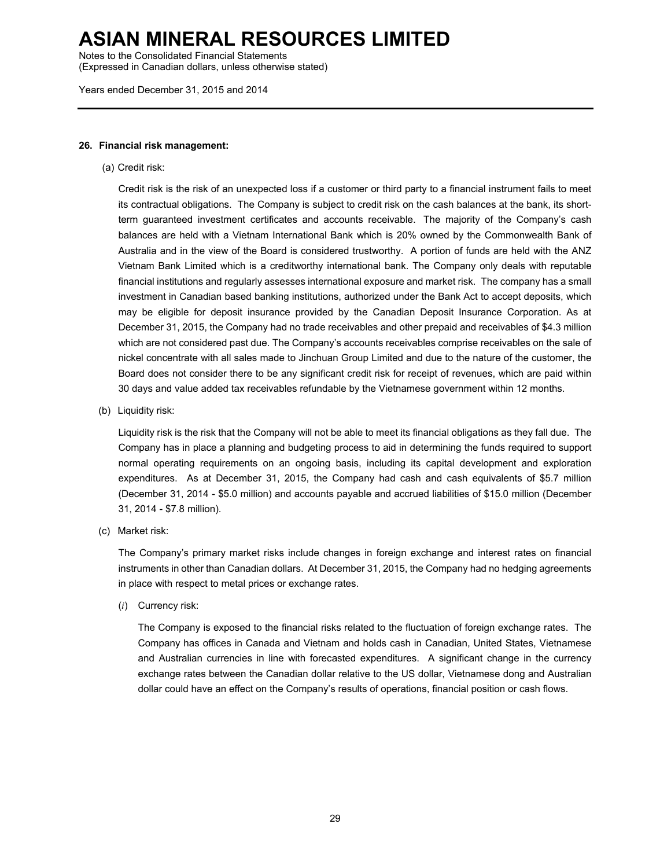Notes to the Consolidated Financial Statements

(Expressed in Canadian dollars, unless otherwise stated)

Years ended December 31, 2015 and 2014

#### **26. Financial risk management:**

(a) Credit risk:

Credit risk is the risk of an unexpected loss if a customer or third party to a financial instrument fails to meet its contractual obligations. The Company is subject to credit risk on the cash balances at the bank, its shortterm guaranteed investment certificates and accounts receivable. The majority of the Company's cash balances are held with a Vietnam International Bank which is 20% owned by the Commonwealth Bank of Australia and in the view of the Board is considered trustworthy. A portion of funds are held with the ANZ Vietnam Bank Limited which is a creditworthy international bank. The Company only deals with reputable financial institutions and regularly assesses international exposure and market risk. The company has a small investment in Canadian based banking institutions, authorized under the Bank Act to accept deposits, which may be eligible for deposit insurance provided by the Canadian Deposit Insurance Corporation. As at December 31, 2015, the Company had no trade receivables and other prepaid and receivables of \$4.3 million which are not considered past due. The Company's accounts receivables comprise receivables on the sale of nickel concentrate with all sales made to Jinchuan Group Limited and due to the nature of the customer, the Board does not consider there to be any significant credit risk for receipt of revenues, which are paid within 30 days and value added tax receivables refundable by the Vietnamese government within 12 months.

(b) Liquidity risk:

Liquidity risk is the risk that the Company will not be able to meet its financial obligations as they fall due. The Company has in place a planning and budgeting process to aid in determining the funds required to support normal operating requirements on an ongoing basis, including its capital development and exploration expenditures. As at December 31, 2015, the Company had cash and cash equivalents of \$5.7 million (December 31, 2014 - \$5.0 million) and accounts payable and accrued liabilities of \$15.0 million (December 31, 2014 - \$7.8 million).

(c) Market risk:

The Company's primary market risks include changes in foreign exchange and interest rates on financial instruments in other than Canadian dollars. At December 31, 2015, the Company had no hedging agreements in place with respect to metal prices or exchange rates.

(*i*) Currency risk:

The Company is exposed to the financial risks related to the fluctuation of foreign exchange rates. The Company has offices in Canada and Vietnam and holds cash in Canadian, United States, Vietnamese and Australian currencies in line with forecasted expenditures. A significant change in the currency exchange rates between the Canadian dollar relative to the US dollar, Vietnamese dong and Australian dollar could have an effect on the Company's results of operations, financial position or cash flows.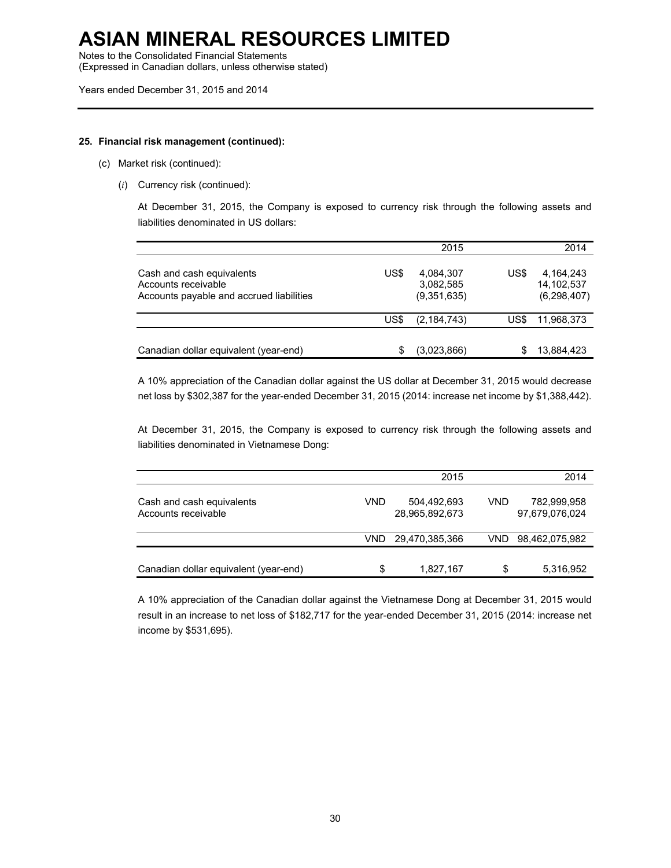Notes to the Consolidated Financial Statements

(Expressed in Canadian dollars, unless otherwise stated)

#### **25. Financial risk management (continued):**

- (c) Market risk (continued):
	- (*i*) Currency risk (continued):

At December 31, 2015, the Company is exposed to currency risk through the following assets and liabilities denominated in US dollars:

|                                                                                              |      | 2015                                  |      | 2014                                   |
|----------------------------------------------------------------------------------------------|------|---------------------------------------|------|----------------------------------------|
| Cash and cash equivalents<br>Accounts receivable<br>Accounts payable and accrued liabilities | US\$ | 4,084,307<br>3,082,585<br>(9.351.635) | US\$ | 4,164,243<br>14.102.537<br>(6,298,407) |
|                                                                                              | US\$ | (2, 184, 743)                         | US\$ | 11,968,373                             |
| Canadian dollar equivalent (year-end)                                                        |      | (3,023,866)                           |      | 13,884,423                             |

A 10% appreciation of the Canadian dollar against the US dollar at December 31, 2015 would decrease net loss by \$302,387 for the year-ended December 31, 2015 (2014: increase net income by \$1,388,442).

At December 31, 2015, the Company is exposed to currency risk through the following assets and liabilities denominated in Vietnamese Dong:

|                                                  |      | 2015                          |      | 2014                          |
|--------------------------------------------------|------|-------------------------------|------|-------------------------------|
| Cash and cash equivalents<br>Accounts receivable | VND  | 504,492,693<br>28,965,892,673 | VND  | 782,999,958<br>97,679,076,024 |
|                                                  | VND. | 29,470,385,366                | VND. | 98,462,075,982                |
| Canadian dollar equivalent (year-end)            | \$   | 1,827,167                     | S    | 5,316,952                     |

A 10% appreciation of the Canadian dollar against the Vietnamese Dong at December 31, 2015 would result in an increase to net loss of \$182,717 for the year-ended December 31, 2015 (2014: increase net income by \$531,695).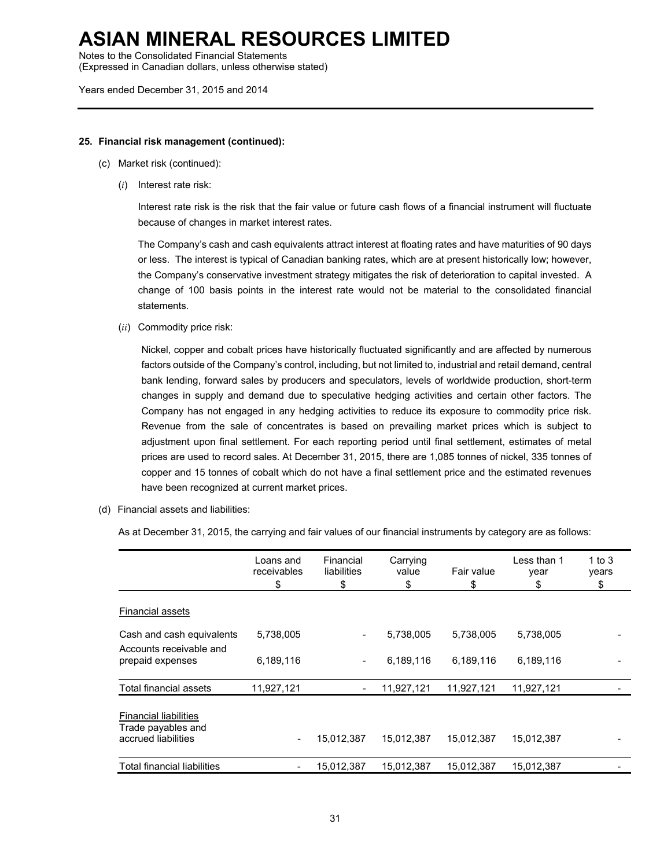Notes to the Consolidated Financial Statements

(Expressed in Canadian dollars, unless otherwise stated)

Years ended December 31, 2015 and 2014

### **25. Financial risk management (continued):**

- (c) Market risk (continued):
	- (*i*) Interest rate risk:

Interest rate risk is the risk that the fair value or future cash flows of a financial instrument will fluctuate because of changes in market interest rates.

The Company's cash and cash equivalents attract interest at floating rates and have maturities of 90 days or less. The interest is typical of Canadian banking rates, which are at present historically low; however, the Company's conservative investment strategy mitigates the risk of deterioration to capital invested. A change of 100 basis points in the interest rate would not be material to the consolidated financial statements.

(*ii*) Commodity price risk:

Nickel, copper and cobalt prices have historically fluctuated significantly and are affected by numerous factors outside of the Company's control, including, but not limited to, industrial and retail demand, central bank lending, forward sales by producers and speculators, levels of worldwide production, short-term changes in supply and demand due to speculative hedging activities and certain other factors. The Company has not engaged in any hedging activities to reduce its exposure to commodity price risk. Revenue from the sale of concentrates is based on prevailing market prices which is subject to adjustment upon final settlement. For each reporting period until final settlement, estimates of metal prices are used to record sales. At December 31, 2015, there are 1,085 tonnes of nickel, 335 tonnes of copper and 15 tonnes of cobalt which do not have a final settlement price and the estimated revenues have been recognized at current market prices.

(d) Financial assets and liabilities:

As at December 31, 2015, the carrying and fair values of our financial instruments by category are as follows:

|                                                                           | Loans and<br>receivables<br>\$ | Financial<br>liabilities<br>\$ | Carrying<br>value<br>\$ | Fair value<br>\$ | Less than 1<br>year<br>\$ | 1 to $3$<br>years<br>\$ |
|---------------------------------------------------------------------------|--------------------------------|--------------------------------|-------------------------|------------------|---------------------------|-------------------------|
| <b>Financial assets</b>                                                   |                                |                                |                         |                  |                           |                         |
| Cash and cash equivalents                                                 | 5,738,005                      | -                              | 5,738,005               | 5,738,005        | 5,738,005                 |                         |
| Accounts receivable and<br>prepaid expenses                               | 6,189,116                      | -                              | 6,189,116               | 6,189,116        | 6,189,116                 |                         |
| Total financial assets                                                    | 11,927,121                     |                                | 11,927,121              | 11,927,121       | 11,927,121                |                         |
| <b>Financial liabilities</b><br>Trade payables and<br>accrued liabilities | $\overline{\phantom{a}}$       | 15,012,387                     | 15,012,387              | 15,012,387       | 15,012,387                |                         |
| <b>Total financial liabilities</b>                                        | -                              | 15.012.387                     | 15.012.387              | 15.012.387       | 15.012.387                |                         |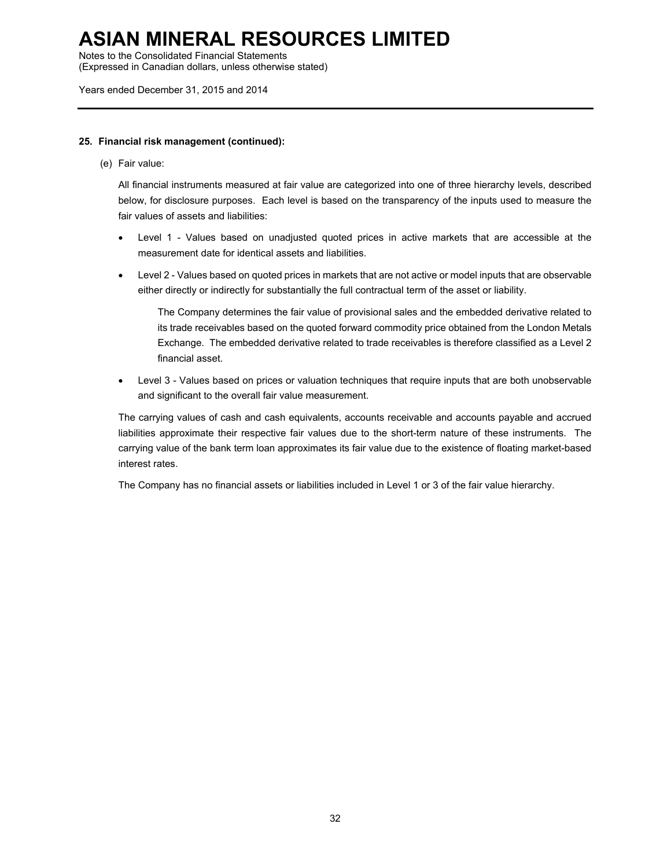Notes to the Consolidated Financial Statements

(Expressed in Canadian dollars, unless otherwise stated)

Years ended December 31, 2015 and 2014

### **25. Financial risk management (continued):**

(e) Fair value:

All financial instruments measured at fair value are categorized into one of three hierarchy levels, described below, for disclosure purposes. Each level is based on the transparency of the inputs used to measure the fair values of assets and liabilities:

- Level 1 Values based on unadjusted quoted prices in active markets that are accessible at the measurement date for identical assets and liabilities.
- Level 2 Values based on quoted prices in markets that are not active or model inputs that are observable either directly or indirectly for substantially the full contractual term of the asset or liability.

The Company determines the fair value of provisional sales and the embedded derivative related to its trade receivables based on the quoted forward commodity price obtained from the London Metals Exchange. The embedded derivative related to trade receivables is therefore classified as a Level 2 financial asset.

• Level 3 - Values based on prices or valuation techniques that require inputs that are both unobservable and significant to the overall fair value measurement.

The carrying values of cash and cash equivalents, accounts receivable and accounts payable and accrued liabilities approximate their respective fair values due to the short-term nature of these instruments. The carrying value of the bank term loan approximates its fair value due to the existence of floating market-based interest rates.

The Company has no financial assets or liabilities included in Level 1 or 3 of the fair value hierarchy.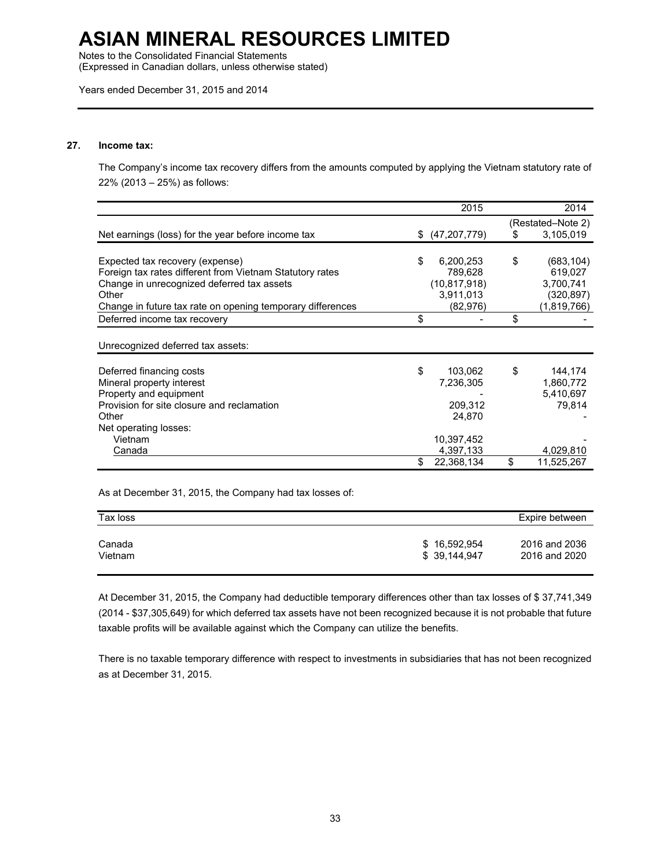Notes to the Consolidated Financial Statements

(Expressed in Canadian dollars, unless otherwise stated)

Years ended December 31, 2015 and 2014

### **27. Income tax:**

The Company's income tax recovery differs from the amounts computed by applying the Vietnam statutory rate of 22% (2013 – 25%) as follows:

|                                                            | 2015                 |    | 2014              |
|------------------------------------------------------------|----------------------|----|-------------------|
|                                                            |                      |    | (Restated–Note 2) |
| Net earnings (loss) for the year before income tax         | \$<br>(47, 207, 779) | S. | 3,105,019         |
|                                                            |                      |    |                   |
| Expected tax recovery (expense)                            | \$<br>6,200,253      | \$ | (683, 104)        |
| Foreign tax rates different from Vietnam Statutory rates   | 789,628              |    | 619,027           |
| Change in unrecognized deferred tax assets                 | (10.817.918)         |    | 3,700,741         |
| Other                                                      | 3,911,013            |    | (320, 897)        |
| Change in future tax rate on opening temporary differences | (82, 976)            |    | (1,819,766)       |
| Deferred income tax recovery                               | \$                   | \$ |                   |
|                                                            |                      |    |                   |
| Unrecognized deferred tax assets:                          |                      |    |                   |
| Deferred financing costs                                   | \$<br>103,062        | \$ | 144,174           |
| Mineral property interest                                  | 7,236,305            |    | 1,860,772         |
| Property and equipment                                     |                      |    | 5,410,697         |
| Provision for site closure and reclamation                 | 209,312              |    | 79.814            |
| Other                                                      | 24,870               |    |                   |
| Net operating losses:                                      |                      |    |                   |
| Vietnam                                                    | 10,397,452           |    |                   |
| Canada                                                     | 4,397,133            |    | 4,029,810         |
|                                                            | \$<br>22,368,134     | \$ | 11,525,267        |

As at December 31, 2015, the Company had tax losses of:

| Tax loss |              | Expire between |
|----------|--------------|----------------|
|          |              |                |
| Canada   | \$16,592,954 | 2016 and 2036  |
| Vietnam  | \$39,144,947 | 2016 and 2020  |
|          |              |                |

At December 31, 2015, the Company had deductible temporary differences other than tax losses of \$ 37,741,349 (2014 - \$37,305,649) for which deferred tax assets have not been recognized because it is not probable that future taxable profits will be available against which the Company can utilize the benefits.

There is no taxable temporary difference with respect to investments in subsidiaries that has not been recognized as at December 31, 2015.